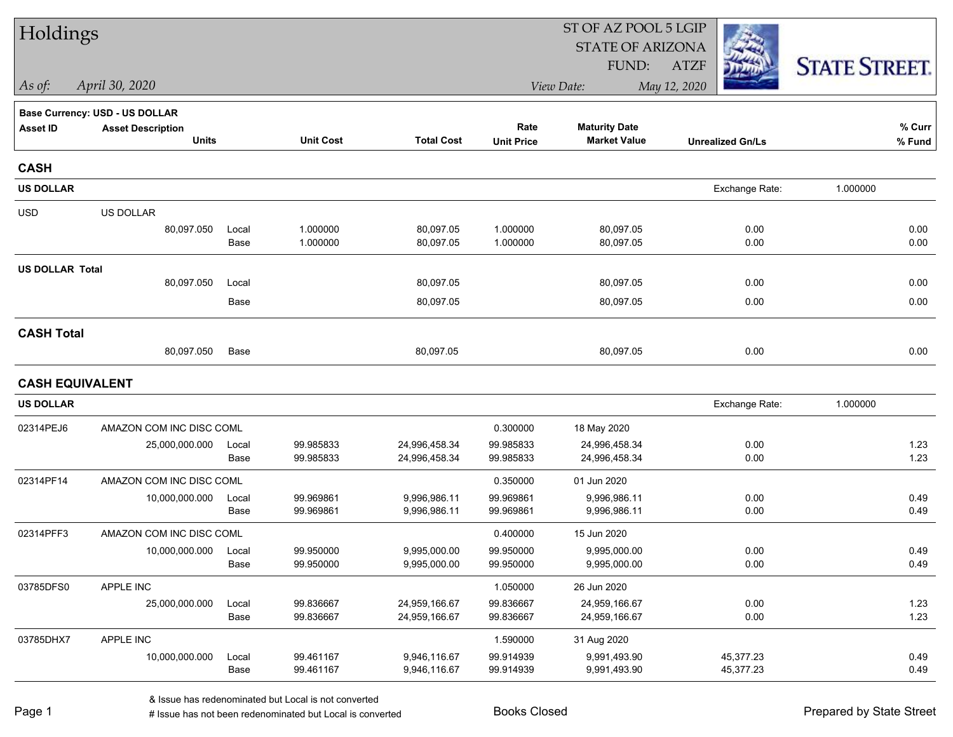| Holdings               |                                          |               |                        |                                | ST OF AZ POOL 5 LGIP      |                                             |                         |                      |  |  |
|------------------------|------------------------------------------|---------------|------------------------|--------------------------------|---------------------------|---------------------------------------------|-------------------------|----------------------|--|--|
|                        |                                          |               |                        |                                |                           | <b>STATE OF ARIZONA</b>                     |                         |                      |  |  |
|                        |                                          |               |                        |                                |                           | FUND:                                       | <b>ATZF</b>             | <b>STATE STREET.</b> |  |  |
| As of:                 | April 30, 2020                           |               |                        |                                |                           | View Date:                                  | May 12, 2020            |                      |  |  |
|                        | <b>Base Currency: USD - US DOLLAR</b>    |               |                        |                                |                           |                                             |                         |                      |  |  |
| <b>Asset ID</b>        | <b>Asset Description</b><br><b>Units</b> |               | <b>Unit Cost</b>       | <b>Total Cost</b>              | Rate<br><b>Unit Price</b> | <b>Maturity Date</b><br><b>Market Value</b> | <b>Unrealized Gn/Ls</b> | % Curr<br>% Fund     |  |  |
|                        |                                          |               |                        |                                |                           |                                             |                         |                      |  |  |
| <b>CASH</b>            |                                          |               |                        |                                |                           |                                             |                         |                      |  |  |
| <b>US DOLLAR</b>       |                                          |               |                        |                                |                           |                                             | Exchange Rate:          | 1.000000             |  |  |
| <b>USD</b>             | US DOLLAR                                |               |                        |                                |                           |                                             |                         |                      |  |  |
|                        | 80,097.050                               | Local         | 1.000000               | 80,097.05                      | 1.000000                  | 80,097.05                                   | 0.00                    | 0.00                 |  |  |
|                        |                                          | Base          | 1.000000               | 80,097.05                      | 1.000000                  | 80,097.05                                   | 0.00                    | 0.00                 |  |  |
| <b>US DOLLAR Total</b> |                                          |               |                        |                                |                           |                                             |                         |                      |  |  |
|                        | 80,097.050                               | Local         |                        | 80,097.05                      |                           | 80,097.05                                   | 0.00                    | 0.00                 |  |  |
|                        |                                          | Base          |                        | 80,097.05                      |                           | 80,097.05                                   | 0.00                    | 0.00                 |  |  |
| <b>CASH Total</b>      |                                          |               |                        |                                |                           |                                             |                         |                      |  |  |
|                        | 80,097.050                               | Base          |                        | 80,097.05                      |                           | 80,097.05                                   | 0.00                    | 0.00                 |  |  |
| <b>CASH EQUIVALENT</b> |                                          |               |                        |                                |                           |                                             |                         |                      |  |  |
| <b>US DOLLAR</b>       |                                          |               |                        |                                |                           |                                             | Exchange Rate:          | 1.000000             |  |  |
| 02314PEJ6              | AMAZON COM INC DISC COML                 |               |                        |                                | 0.300000                  | 18 May 2020                                 |                         |                      |  |  |
|                        | 25,000,000.000                           | Local         | 99.985833              | 24,996,458.34                  | 99.985833                 | 24,996,458.34                               | 0.00                    | 1.23                 |  |  |
|                        |                                          | Base          | 99.985833              | 24,996,458.34                  | 99.985833                 | 24,996,458.34                               | 0.00                    | 1.23                 |  |  |
| 02314PF14              | AMAZON COM INC DISC COML                 |               |                        |                                | 0.350000                  | 01 Jun 2020                                 |                         |                      |  |  |
|                        | 10,000,000.000                           | Local         | 99.969861              | 9,996,986.11                   | 99.969861                 | 9,996,986.11                                | 0.00                    | 0.49                 |  |  |
|                        |                                          | Base          | 99.969861              | 9,996,986.11                   | 99.969861                 | 9,996,986.11                                | 0.00                    | 0.49                 |  |  |
| 02314PFF3              | AMAZON COM INC DISC COML                 |               |                        |                                | 0.400000                  | 15 Jun 2020                                 |                         |                      |  |  |
|                        | 10,000,000.000                           | Local         | 99.950000              | 9,995,000.00                   | 99.950000                 | 9,995,000.00                                | 0.00                    | 0.49                 |  |  |
|                        |                                          | Base          | 99.950000              | 9,995,000.00                   | 99.950000                 | 9,995,000.00                                | 0.00                    | 0.49                 |  |  |
| 03785DFS0              | APPLE INC                                |               |                        |                                | 1.050000                  | 26 Jun 2020                                 |                         |                      |  |  |
|                        | 25,000,000.000                           | Local<br>Base | 99.836667<br>99.836667 | 24,959,166.67<br>24,959,166.67 | 99.836667<br>99.836667    | 24,959,166.67<br>24,959,166.67              | 0.00<br>0.00            | 1.23<br>1.23         |  |  |
|                        |                                          |               |                        |                                |                           |                                             |                         |                      |  |  |
| 03785DHX7              | APPLE INC                                |               |                        |                                | 1.590000                  | 31 Aug 2020                                 |                         |                      |  |  |
|                        | 10,000,000.000                           | Local<br>Base | 99.461167<br>99.461167 | 9,946,116.67<br>9,946,116.67   | 99.914939<br>99.914939    | 9,991,493.90<br>9,991,493.90                | 45,377.23<br>45,377.23  | 0.49<br>0.49         |  |  |
|                        |                                          |               |                        |                                |                           |                                             |                         |                      |  |  |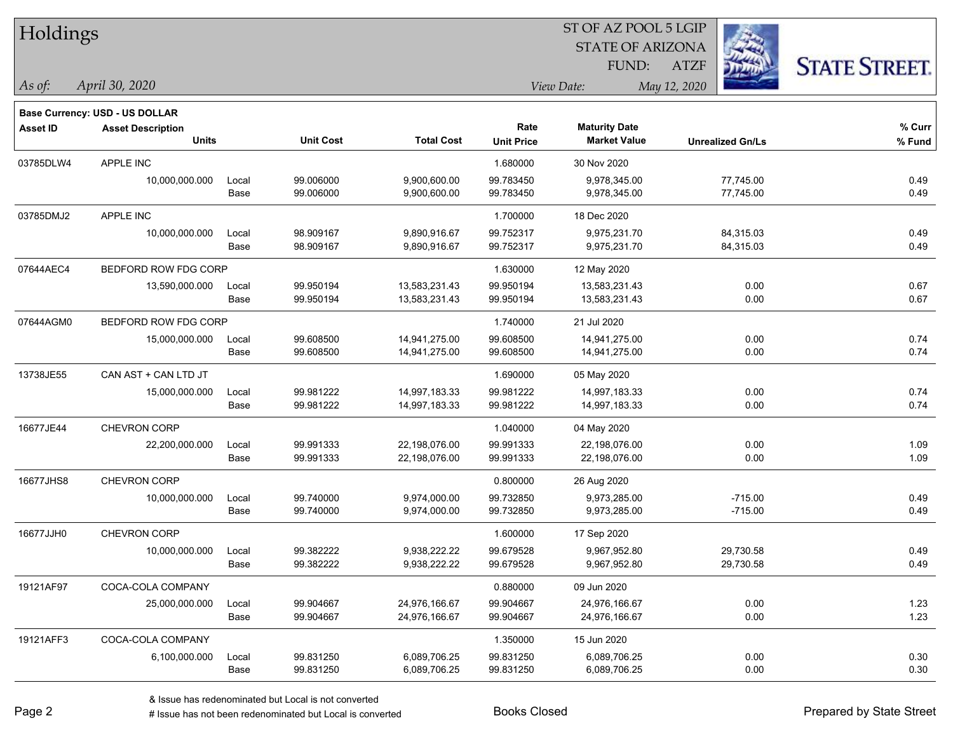| Holdings        |                                       |       |                  |                   |                   | 91 OI 712 I OOL 9 LOID  |                         |                     |
|-----------------|---------------------------------------|-------|------------------|-------------------|-------------------|-------------------------|-------------------------|---------------------|
|                 |                                       |       |                  |                   |                   | <b>STATE OF ARIZONA</b> |                         |                     |
|                 |                                       |       |                  |                   |                   | FUND:                   | <b>ATZF</b>             | <b>STATE STREET</b> |
| As of:          | April 30, 2020                        |       |                  |                   |                   | View Date:              | May 12, 2020            |                     |
|                 | <b>Base Currency: USD - US DOLLAR</b> |       |                  |                   |                   |                         |                         |                     |
| <b>Asset ID</b> | <b>Asset Description</b>              |       |                  |                   | Rate              | <b>Maturity Date</b>    |                         | % Curr              |
|                 | <b>Units</b>                          |       | <b>Unit Cost</b> | <b>Total Cost</b> | <b>Unit Price</b> | <b>Market Value</b>     | <b>Unrealized Gn/Ls</b> | % Fund              |
| 03785DLW4       | APPLE INC                             |       |                  |                   | 1.680000          | 30 Nov 2020             |                         |                     |
|                 | 10,000,000.000                        | Local | 99.006000        | 9,900,600.00      | 99.783450         | 9,978,345.00            | 77,745.00               | 0.49                |
|                 |                                       | Base  | 99.006000        | 9,900,600.00      | 99.783450         | 9,978,345.00            | 77,745.00               | 0.49                |
| 03785DMJ2       | APPLE INC                             |       |                  |                   | 1.700000          | 18 Dec 2020             |                         |                     |
|                 | 10,000,000.000                        | Local | 98.909167        | 9,890,916.67      | 99.752317         | 9,975,231.70            | 84,315.03               | 0.49                |
|                 |                                       | Base  | 98.909167        | 9,890,916.67      | 99.752317         | 9,975,231.70            | 84,315.03               | 0.49                |
| 07644AEC4       | BEDFORD ROW FDG CORP                  |       |                  |                   | 1.630000          | 12 May 2020             |                         |                     |
|                 | 13,590,000.000                        | Local | 99.950194        | 13,583,231.43     | 99.950194         | 13,583,231.43           | 0.00                    | 0.67                |
|                 |                                       | Base  | 99.950194        | 13,583,231.43     | 99.950194         | 13,583,231.43           | 0.00                    | 0.67                |
| 07644AGM0       | BEDFORD ROW FDG CORP                  |       |                  |                   | 1.740000          | 21 Jul 2020             |                         |                     |
|                 | 15,000,000.000                        | Local | 99.608500        | 14,941,275.00     | 99.608500         | 14,941,275.00           | 0.00                    | 0.74                |
|                 |                                       | Base  | 99.608500        | 14,941,275.00     | 99.608500         | 14,941,275.00           | 0.00                    | 0.74                |
| 13738JE55       | CAN AST + CAN LTD JT                  |       |                  |                   | 1.690000          | 05 May 2020             |                         |                     |
|                 | 15,000,000.000                        | Local | 99.981222        | 14,997,183.33     | 99.981222         | 14,997,183.33           | 0.00                    | 0.74                |
|                 |                                       | Base  | 99.981222        | 14,997,183.33     | 99.981222         | 14,997,183.33           | 0.00                    | 0.74                |
| 16677JE44       | CHEVRON CORP                          |       |                  |                   | 1.040000          | 04 May 2020             |                         |                     |
|                 | 22,200,000.000                        | Local | 99.991333        | 22,198,076.00     | 99.991333         | 22,198,076.00           | 0.00                    | 1.09                |
|                 |                                       | Base  | 99.991333        | 22,198,076.00     | 99.991333         | 22,198,076.00           | 0.00                    | 1.09                |
| 16677JHS8       | <b>CHEVRON CORP</b>                   |       |                  |                   | 0.800000          | 26 Aug 2020             |                         |                     |
|                 | 10,000,000.000                        | Local | 99.740000        | 9,974,000.00      | 99.732850         | 9,973,285.00            | $-715.00$               | 0.49                |
|                 |                                       | Base  | 99.740000        | 9,974,000.00      | 99.732850         | 9,973,285.00            | $-715.00$               | 0.49                |
| 16677JJH0       | <b>CHEVRON CORP</b>                   |       |                  |                   | 1.600000          | 17 Sep 2020             |                         |                     |
|                 | 10,000,000.000                        | Local | 99.382222        | 9,938,222.22      | 99.679528         | 9,967,952.80            | 29,730.58               | 0.49                |
|                 |                                       | Base  | 99.382222        | 9,938,222.22      | 99.679528         | 9,967,952.80            | 29,730.58               | 0.49                |
| 19121AF97       | COCA-COLA COMPANY                     |       |                  |                   | 0.880000          | 09 Jun 2020             |                         |                     |
|                 | 25,000,000.000                        | Local | 99.904667        | 24,976,166.67     | 99.904667         | 24,976,166.67           | 0.00                    | 1.23                |
|                 |                                       | Base  | 99.904667        | 24,976,166.67     | 99.904667         | 24,976,166.67           | 0.00                    | 1.23                |
| 19121AFF3       | COCA-COLA COMPANY                     |       |                  |                   | 1.350000          | 15 Jun 2020             |                         |                     |
|                 | 6,100,000.000                         | Local | 99.831250        | 6,089,706.25      | 99.831250         | 6,089,706.25            | 0.00                    | 0.30                |
|                 |                                       | Base  | 99.831250        | 6,089,706.25      | 99.831250         | 6,089,706.25            | 0.00                    | 0.30                |



# $TT$  11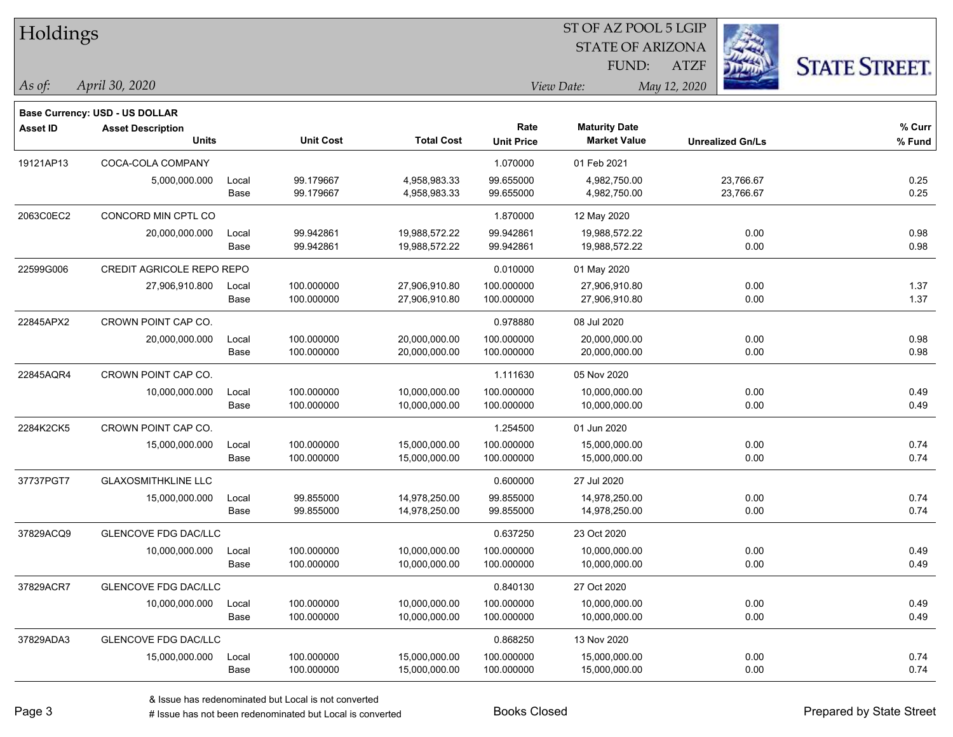| Holdings        |                                          |       |                  |                   |                           |                                             |                         |                      |
|-----------------|------------------------------------------|-------|------------------|-------------------|---------------------------|---------------------------------------------|-------------------------|----------------------|
|                 |                                          |       |                  |                   |                           | <b>STATE OF ARIZONA</b>                     |                         |                      |
|                 |                                          |       |                  |                   |                           | FUND:                                       | <b>ATZF</b>             | <b>STATE STREET.</b> |
| As of:          | April 30, 2020                           |       |                  |                   |                           | View Date:                                  | May 12, 2020            |                      |
|                 |                                          |       |                  |                   |                           |                                             |                         |                      |
|                 | Base Currency: USD - US DOLLAR           |       |                  |                   |                           |                                             |                         |                      |
| <b>Asset ID</b> | <b>Asset Description</b><br><b>Units</b> |       | <b>Unit Cost</b> | <b>Total Cost</b> | Rate<br><b>Unit Price</b> | <b>Maturity Date</b><br><b>Market Value</b> | <b>Unrealized Gn/Ls</b> | % Curr<br>% Fund     |
|                 |                                          |       |                  |                   |                           |                                             |                         |                      |
| 19121AP13       | COCA-COLA COMPANY                        |       |                  |                   | 1.070000                  | 01 Feb 2021                                 |                         |                      |
|                 | 5,000,000.000                            | Local | 99.179667        | 4,958,983.33      | 99.655000                 | 4,982,750.00                                | 23,766.67               | 0.25                 |
|                 |                                          | Base  | 99.179667        | 4,958,983.33      | 99.655000                 | 4,982,750.00                                | 23,766.67               | 0.25                 |
| 2063C0EC2       | CONCORD MIN CPTL CO                      |       |                  |                   | 1.870000                  | 12 May 2020                                 |                         |                      |
|                 | 20,000,000.000                           | Local | 99.942861        | 19,988,572.22     | 99.942861                 | 19,988,572.22                               | 0.00                    | 0.98                 |
|                 |                                          | Base  | 99.942861        | 19,988,572.22     | 99.942861                 | 19,988,572.22                               | 0.00                    | 0.98                 |
| 22599G006       | CREDIT AGRICOLE REPO REPO                |       |                  |                   | 0.010000                  | 01 May 2020                                 |                         |                      |
|                 | 27,906,910.800                           | Local | 100.000000       | 27,906,910.80     | 100.000000                | 27,906,910.80                               | 0.00                    | 1.37                 |
|                 |                                          | Base  | 100.000000       | 27,906,910.80     | 100.000000                | 27,906,910.80                               | 0.00                    | 1.37                 |
| 22845APX2       | CROWN POINT CAP CO.                      |       |                  |                   | 0.978880                  | 08 Jul 2020                                 |                         |                      |
|                 | 20,000,000.000                           | Local | 100.000000       | 20,000,000.00     | 100.000000                | 20,000,000.00                               | 0.00                    | 0.98                 |
|                 |                                          | Base  | 100.000000       | 20,000,000.00     | 100.000000                | 20,000,000.00                               | 0.00                    | 0.98                 |
| 22845AQR4       | CROWN POINT CAP CO.                      |       |                  |                   | 1.111630                  | 05 Nov 2020                                 |                         |                      |
|                 | 10,000,000.000                           | Local | 100.000000       | 10,000,000.00     | 100.000000                | 10,000,000.00                               | 0.00                    | 0.49                 |
|                 |                                          | Base  | 100.000000       | 10,000,000.00     | 100.000000                | 10,000,000.00                               | 0.00                    | 0.49                 |
| 2284K2CK5       | CROWN POINT CAP CO.                      |       |                  |                   | 1.254500                  | 01 Jun 2020                                 |                         |                      |
|                 | 15,000,000.000                           | Local | 100.000000       | 15,000,000.00     | 100.000000                | 15,000,000.00                               | 0.00                    | 0.74                 |
|                 |                                          | Base  | 100.000000       | 15,000,000.00     | 100.000000                | 15,000,000.00                               | 0.00                    | 0.74                 |
| 37737PGT7       | <b>GLAXOSMITHKLINE LLC</b>               |       |                  |                   | 0.600000                  | 27 Jul 2020                                 |                         |                      |
|                 | 15,000,000.000                           | Local | 99.855000        | 14,978,250.00     | 99.855000                 | 14,978,250.00                               | 0.00                    | 0.74                 |
|                 |                                          | Base  | 99.855000        | 14,978,250.00     | 99.855000                 | 14,978,250.00                               | 0.00                    | 0.74                 |
| 37829ACQ9       | <b>GLENCOVE FDG DAC/LLC</b>              |       |                  |                   | 0.637250                  | 23 Oct 2020                                 |                         |                      |
|                 | 10,000,000.000                           | Local | 100.000000       | 10,000,000.00     | 100.000000                | 10,000,000.00                               | 0.00                    | 0.49                 |
|                 |                                          | Base  | 100.000000       | 10,000,000.00     | 100.000000                | 10,000,000.00                               | 0.00                    | 0.49                 |
| 37829ACR7       | <b>GLENCOVE FDG DAC/LLC</b>              |       |                  |                   | 0.840130                  | 27 Oct 2020                                 |                         |                      |
|                 | 10,000,000.000                           | Local | 100.000000       | 10,000,000.00     | 100.000000                | 10,000,000.00                               | 0.00                    | 0.49                 |
|                 |                                          | Base  | 100.000000       | 10,000,000.00     | 100.000000                | 10,000,000.00                               | 0.00                    | 0.49                 |
| 37829ADA3       | <b>GLENCOVE FDG DAC/LLC</b>              |       |                  |                   | 0.868250                  | 13 Nov 2020                                 |                         |                      |
|                 | 15,000,000.000                           | Local | 100.000000       | 15,000,000.00     | 100.000000                | 15,000,000.00                               | 0.00                    | 0.74                 |
|                 |                                          | Base  | 100.000000       | 15,000,000.00     | 100.000000                | 15,000,000.00                               | 0.00                    | 0.74                 |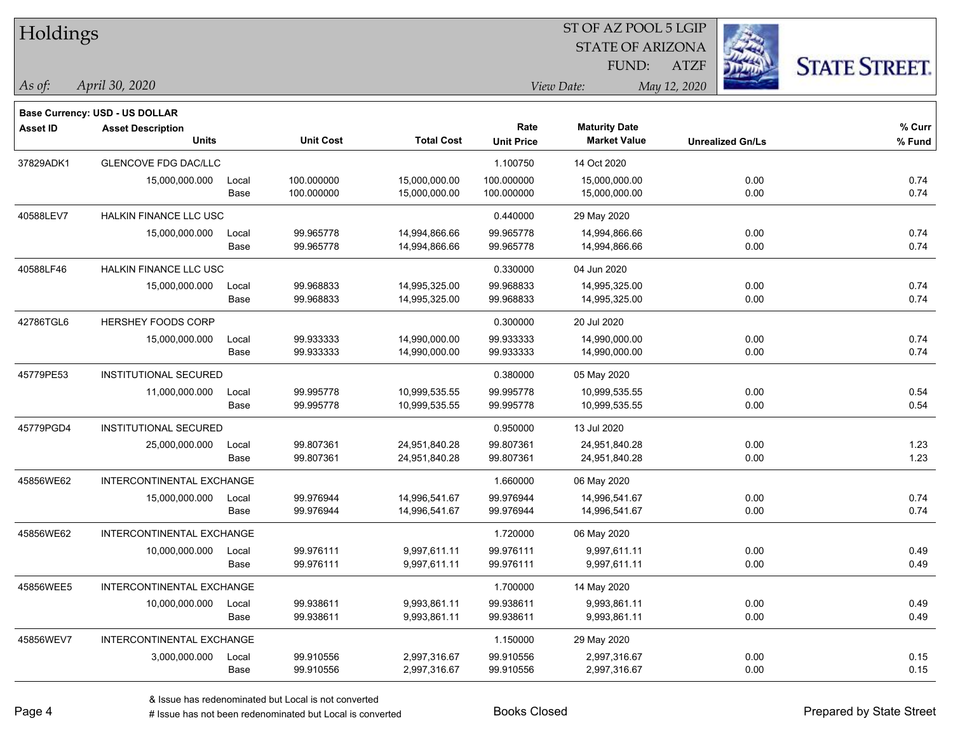| Holdings        |                                                            |       |                  |                   |                   | ST OF AZ POOL 5 LGIP    |              |                         |                      |
|-----------------|------------------------------------------------------------|-------|------------------|-------------------|-------------------|-------------------------|--------------|-------------------------|----------------------|
|                 |                                                            |       |                  |                   |                   | <b>STATE OF ARIZONA</b> |              |                         |                      |
|                 |                                                            |       |                  |                   |                   | FUND:                   | <b>ATZF</b>  |                         | <b>STATE STREET.</b> |
| As of:          | April 30, 2020                                             |       |                  |                   | View Date:        |                         | May 12, 2020 |                         |                      |
|                 |                                                            |       |                  |                   |                   |                         |              |                         |                      |
| <b>Asset ID</b> | Base Currency: USD - US DOLLAR<br><b>Asset Description</b> |       |                  |                   | Rate              | <b>Maturity Date</b>    |              |                         | % Curr               |
|                 | <b>Units</b>                                               |       | <b>Unit Cost</b> | <b>Total Cost</b> | <b>Unit Price</b> | <b>Market Value</b>     |              | <b>Unrealized Gn/Ls</b> | % Fund               |
| 37829ADK1       | <b>GLENCOVE FDG DAC/LLC</b>                                |       |                  |                   | 1.100750          | 14 Oct 2020             |              |                         |                      |
|                 | 15,000,000.000                                             | Local | 100.000000       | 15,000,000.00     | 100.000000        | 15,000,000.00           |              | 0.00                    | 0.74                 |
|                 |                                                            | Base  | 100.000000       | 15,000,000.00     | 100.000000        | 15,000,000.00           |              | 0.00                    | 0.74                 |
| 40588LEV7       | HALKIN FINANCE LLC USC                                     |       |                  |                   | 0.440000          | 29 May 2020             |              |                         |                      |
|                 | 15,000,000.000                                             | Local | 99.965778        | 14,994,866.66     | 99.965778         | 14,994,866.66           |              | 0.00                    | 0.74                 |
|                 |                                                            | Base  | 99.965778        | 14,994,866.66     | 99.965778         | 14,994,866.66           |              | 0.00                    | 0.74                 |
| 40588LF46       | HALKIN FINANCE LLC USC                                     |       |                  |                   | 0.330000          | 04 Jun 2020             |              |                         |                      |
|                 | 15,000,000.000                                             | Local | 99.968833        | 14,995,325.00     | 99.968833         | 14,995,325.00           |              | 0.00                    | 0.74                 |
|                 |                                                            | Base  | 99.968833        | 14,995,325.00     | 99.968833         | 14,995,325.00           |              | 0.00                    | 0.74                 |
| 42786TGL6       | HERSHEY FOODS CORP                                         |       |                  |                   | 0.300000          | 20 Jul 2020             |              |                         |                      |
|                 | 15,000,000.000                                             | Local | 99.933333        | 14,990,000.00     | 99.933333         | 14,990,000.00           |              | 0.00                    | 0.74                 |
|                 |                                                            | Base  | 99.933333        | 14,990,000.00     | 99.933333         | 14,990,000.00           |              | 0.00                    | 0.74                 |
| 45779PE53       | INSTITUTIONAL SECURED                                      |       |                  |                   | 0.380000          | 05 May 2020             |              |                         |                      |
|                 | 11,000,000.000                                             | Local | 99.995778        | 10,999,535.55     | 99.995778         | 10,999,535.55           |              | 0.00                    | 0.54                 |
|                 |                                                            | Base  | 99.995778        | 10,999,535.55     | 99.995778         | 10,999,535.55           |              | 0.00                    | 0.54                 |
| 45779PGD4       | INSTITUTIONAL SECURED                                      |       |                  |                   | 0.950000          | 13 Jul 2020             |              |                         |                      |
|                 | 25,000,000.000                                             | Local | 99.807361        | 24,951,840.28     | 99.807361         | 24,951,840.28           |              | 0.00                    | 1.23                 |
|                 |                                                            | Base  | 99.807361        | 24,951,840.28     | 99.807361         | 24,951,840.28           |              | 0.00                    | 1.23                 |
| 45856WE62       | INTERCONTINENTAL EXCHANGE                                  |       |                  |                   | 1.660000          | 06 May 2020             |              |                         |                      |
|                 | 15,000,000.000                                             | Local | 99.976944        | 14,996,541.67     | 99.976944         | 14,996,541.67           |              | 0.00                    | 0.74                 |
|                 |                                                            | Base  | 99.976944        | 14,996,541.67     | 99.976944         | 14,996,541.67           |              | 0.00                    | 0.74                 |
| 45856WE62       | INTERCONTINENTAL EXCHANGE                                  |       |                  |                   | 1.720000          | 06 May 2020             |              |                         |                      |
|                 | 10,000,000.000                                             | Local | 99.976111        | 9,997,611.11      | 99.976111         | 9,997,611.11            |              | 0.00                    | 0.49                 |
|                 |                                                            | Base  | 99.976111        | 9,997,611.11      | 99.976111         | 9,997,611.11            |              | 0.00                    | 0.49                 |
| 45856WEE5       | INTERCONTINENTAL EXCHANGE                                  |       |                  |                   | 1.700000          | 14 May 2020             |              |                         |                      |
|                 | 10,000,000.000                                             | Local | 99.938611        | 9,993,861.11      | 99.938611         | 9,993,861.11            |              | 0.00                    | 0.49                 |
|                 |                                                            | Base  | 99.938611        | 9,993,861.11      | 99.938611         | 9,993,861.11            |              | 0.00                    | 0.49                 |
| 45856WEV7       | INTERCONTINENTAL EXCHANGE                                  |       |                  |                   | 1.150000          | 29 May 2020             |              |                         |                      |
|                 | 3,000,000.000                                              | Local | 99.910556        | 2,997,316.67      | 99.910556         | 2,997,316.67            |              | 0.00                    | 0.15                 |
|                 |                                                            | Base  | 99.910556        | 2,997,316.67      | 99.910556         | 2,997,316.67            |              | 0.00                    | 0.15                 |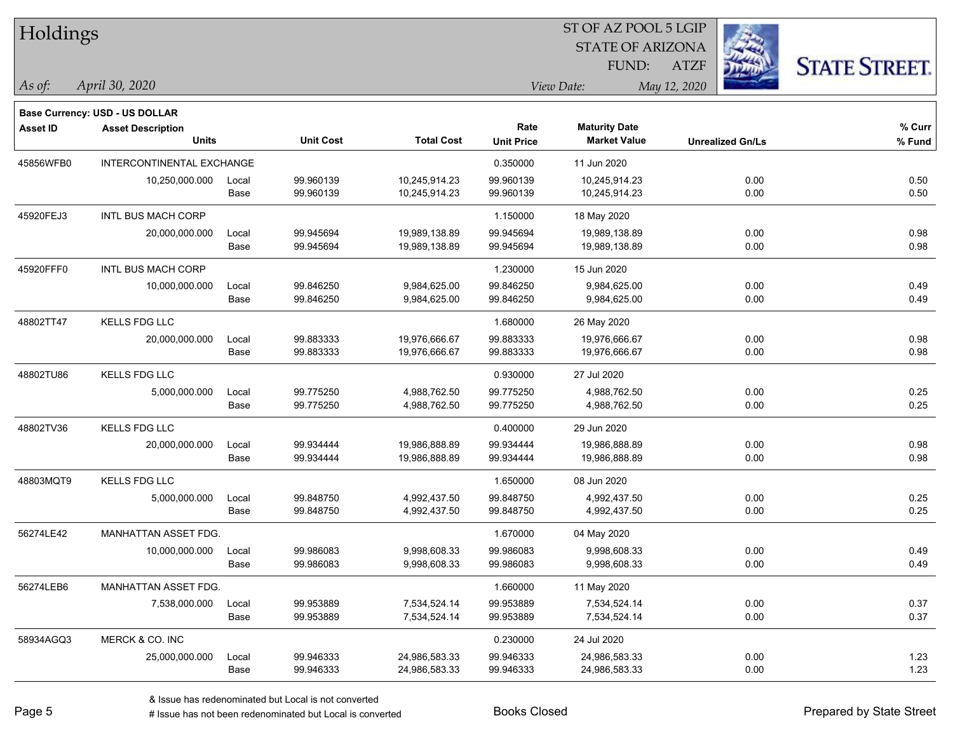| Holdings        |                                                            |       |                  |                   |                   | ST OF AZ POOL 5 LGIP    |                         |      |                      |
|-----------------|------------------------------------------------------------|-------|------------------|-------------------|-------------------|-------------------------|-------------------------|------|----------------------|
|                 |                                                            |       |                  |                   |                   | <b>STATE OF ARIZONA</b> |                         |      |                      |
|                 |                                                            |       |                  |                   |                   | FUND:                   | <b>ATZF</b>             |      | <b>STATE STREET.</b> |
| As of:          | April 30, 2020                                             |       |                  |                   |                   | View Date:              | May 12, 2020            |      |                      |
|                 |                                                            |       |                  |                   |                   |                         |                         |      |                      |
| <b>Asset ID</b> | Base Currency: USD - US DOLLAR<br><b>Asset Description</b> |       |                  |                   | Rate              | <b>Maturity Date</b>    |                         |      | % Curr               |
|                 | <b>Units</b>                                               |       | <b>Unit Cost</b> | <b>Total Cost</b> | <b>Unit Price</b> | <b>Market Value</b>     | <b>Unrealized Gn/Ls</b> |      | % Fund               |
| 45856WFB0       | INTERCONTINENTAL EXCHANGE                                  |       |                  |                   | 0.350000          | 11 Jun 2020             |                         |      |                      |
|                 | 10,250,000.000                                             | Local | 99.960139        | 10,245,914.23     | 99.960139         | 10,245,914.23           |                         | 0.00 | 0.50                 |
|                 |                                                            | Base  | 99.960139        | 10,245,914.23     | 99.960139         | 10,245,914.23           |                         | 0.00 | 0.50                 |
| 45920FEJ3       | INTL BUS MACH CORP                                         |       |                  |                   | 1.150000          | 18 May 2020             |                         |      |                      |
|                 | 20,000,000.000                                             | Local | 99.945694        | 19,989,138.89     | 99.945694         | 19,989,138.89           |                         | 0.00 | 0.98                 |
|                 |                                                            | Base  | 99.945694        | 19,989,138.89     | 99.945694         | 19,989,138.89           |                         | 0.00 | 0.98                 |
| 45920FFF0       | INTL BUS MACH CORP                                         |       |                  |                   | 1.230000          | 15 Jun 2020             |                         |      |                      |
|                 | 10,000,000.000                                             | Local | 99.846250        | 9,984,625.00      | 99.846250         | 9,984,625.00            |                         | 0.00 | 0.49                 |
|                 |                                                            | Base  | 99.846250        | 9,984,625.00      | 99.846250         | 9,984,625.00            |                         | 0.00 | 0.49                 |
| 48802TT47       | <b>KELLS FDG LLC</b>                                       |       |                  |                   | 1.680000          | 26 May 2020             |                         |      |                      |
|                 | 20,000,000.000                                             | Local | 99.883333        | 19,976,666.67     | 99.883333         | 19,976,666.67           |                         | 0.00 | 0.98                 |
|                 |                                                            | Base  | 99.883333        | 19,976,666.67     | 99.883333         | 19,976,666.67           |                         | 0.00 | 0.98                 |
| 48802TU86       | <b>KELLS FDG LLC</b>                                       |       |                  |                   | 0.930000          | 27 Jul 2020             |                         |      |                      |
|                 | 5,000,000.000                                              | Local | 99.775250        | 4,988,762.50      | 99.775250         | 4,988,762.50            |                         | 0.00 | 0.25                 |
|                 |                                                            | Base  | 99.775250        | 4,988,762.50      | 99.775250         | 4,988,762.50            |                         | 0.00 | 0.25                 |
| 48802TV36       | KELLS FDG LLC                                              |       |                  |                   | 0.400000          | 29 Jun 2020             |                         |      |                      |
|                 | 20,000,000.000                                             | Local | 99.934444        | 19,986,888.89     | 99.934444         | 19,986,888.89           |                         | 0.00 | 0.98                 |
|                 |                                                            | Base  | 99.934444        | 19,986,888.89     | 99.934444         | 19,986,888.89           |                         | 0.00 | 0.98                 |
| 48803MQT9       | <b>KELLS FDG LLC</b>                                       |       |                  |                   | 1.650000          | 08 Jun 2020             |                         |      |                      |
|                 | 5,000,000.000                                              | Local | 99.848750        | 4,992,437.50      | 99.848750         | 4,992,437.50            |                         | 0.00 | 0.25                 |
|                 |                                                            | Base  | 99.848750        | 4,992,437.50      | 99.848750         | 4,992,437.50            |                         | 0.00 | 0.25                 |
| 56274LE42       | MANHATTAN ASSET FDG.                                       |       |                  |                   | 1.670000          | 04 May 2020             |                         |      |                      |
|                 | 10,000,000.000                                             | Local | 99.986083        | 9,998,608.33      | 99.986083         | 9,998,608.33            |                         | 0.00 | 0.49                 |
|                 |                                                            | Base  | 99.986083        | 9,998,608.33      | 99.986083         | 9,998,608.33            |                         | 0.00 | 0.49                 |
| 56274LEB6       | MANHATTAN ASSET FDG.                                       |       |                  |                   | 1.660000          | 11 May 2020             |                         |      |                      |
|                 | 7,538,000.000                                              | Local | 99.953889        | 7,534,524.14      | 99.953889         | 7,534,524.14            |                         | 0.00 | 0.37                 |
|                 |                                                            | Base  | 99.953889        | 7,534,524.14      | 99.953889         | 7,534,524.14            |                         | 0.00 | 0.37                 |
| 58934AGQ3       | MERCK & CO. INC                                            |       |                  |                   | 0.230000          | 24 Jul 2020             |                         |      |                      |
|                 | 25,000,000.000                                             | Local | 99.946333        | 24,986,583.33     | 99.946333         | 24,986,583.33           |                         | 0.00 | 1.23                 |
|                 |                                                            | Base  | 99.946333        | 24,986,583.33     | 99.946333         | 24,986,583.33           |                         | 0.00 | 1.23                 |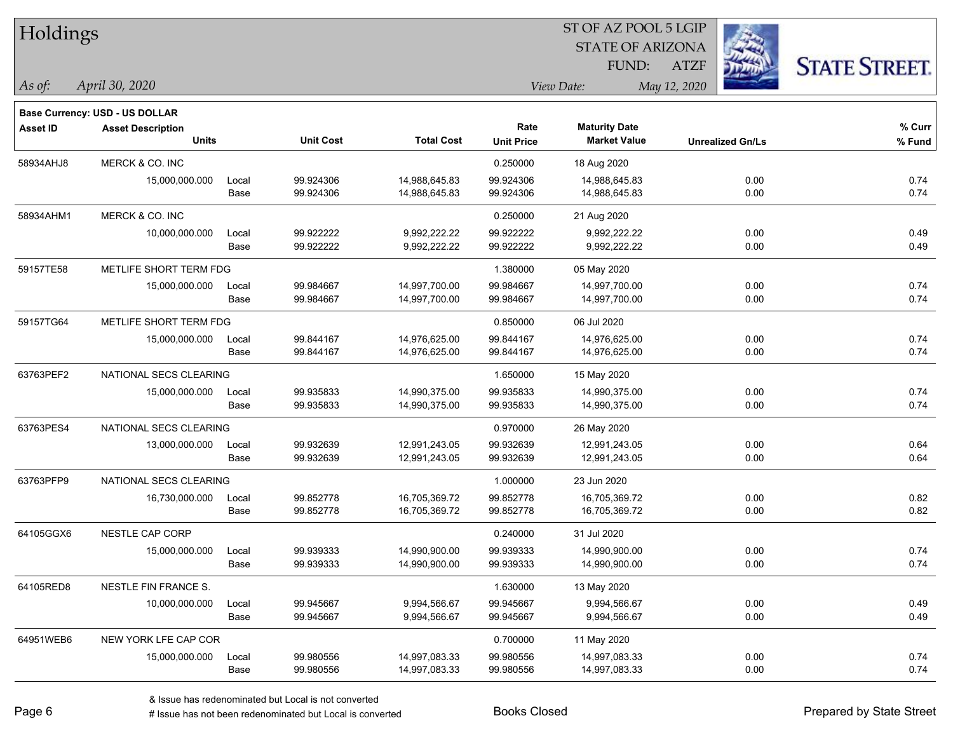| Holdings        |                                          |               |                  |                   |                           | ST OF AZ POOL 5 LGIP                        |                         |                      |
|-----------------|------------------------------------------|---------------|------------------|-------------------|---------------------------|---------------------------------------------|-------------------------|----------------------|
|                 |                                          |               |                  |                   |                           | <b>STATE OF ARIZONA</b>                     |                         |                      |
|                 |                                          |               |                  |                   |                           | FUND:                                       | <b>ATZF</b>             | <b>STATE STREET.</b> |
| As of:          | April 30, 2020                           |               |                  |                   |                           | View Date:                                  | May 12, 2020            |                      |
|                 |                                          |               |                  |                   |                           |                                             |                         |                      |
|                 | Base Currency: USD - US DOLLAR           |               |                  |                   |                           |                                             |                         |                      |
| <b>Asset ID</b> | <b>Asset Description</b><br><b>Units</b> |               | <b>Unit Cost</b> | <b>Total Cost</b> | Rate<br><b>Unit Price</b> | <b>Maturity Date</b><br><b>Market Value</b> | <b>Unrealized Gn/Ls</b> | % Curr<br>% Fund     |
|                 | MERCK & CO. INC                          |               |                  |                   |                           |                                             |                         |                      |
| 58934AHJ8       | 15,000,000.000                           |               | 99.924306        | 14,988,645.83     | 0.250000<br>99.924306     | 18 Aug 2020<br>14,988,645.83                | 0.00                    | 0.74                 |
|                 |                                          | Local<br>Base | 99.924306        | 14,988,645.83     | 99.924306                 | 14,988,645.83                               | 0.00                    | 0.74                 |
| 58934AHM1       | MERCK & CO. INC                          |               |                  |                   | 0.250000                  | 21 Aug 2020                                 |                         |                      |
|                 | 10,000,000.000                           |               | 99.922222        | 9,992,222.22      | 99.922222                 | 9,992,222.22                                | 0.00                    | 0.49                 |
|                 |                                          | Local<br>Base | 99.922222        | 9,992,222.22      | 99.922222                 | 9,992,222.22                                | 0.00                    | 0.49                 |
| 59157TE58       | METLIFE SHORT TERM FDG                   |               |                  |                   | 1.380000                  | 05 May 2020                                 |                         |                      |
|                 | 15,000,000.000                           | Local         | 99.984667        | 14,997,700.00     | 99.984667                 | 14,997,700.00                               | 0.00                    | 0.74                 |
|                 |                                          | Base          | 99.984667        | 14,997,700.00     | 99.984667                 | 14,997,700.00                               | 0.00                    | 0.74                 |
| 59157TG64       | METLIFE SHORT TERM FDG                   |               |                  |                   | 0.850000                  | 06 Jul 2020                                 |                         |                      |
|                 | 15,000,000.000                           | Local         | 99.844167        | 14,976,625.00     | 99.844167                 | 14,976,625.00                               | 0.00                    | 0.74                 |
|                 |                                          | Base          | 99.844167        | 14,976,625.00     | 99.844167                 | 14,976,625.00                               | 0.00                    | 0.74                 |
| 63763PEF2       | NATIONAL SECS CLEARING                   |               |                  |                   | 1.650000                  | 15 May 2020                                 |                         |                      |
|                 | 15,000,000.000                           | Local         | 99.935833        | 14,990,375.00     | 99.935833                 | 14,990,375.00                               | 0.00                    | 0.74                 |
|                 |                                          | Base          | 99.935833        | 14,990,375.00     | 99.935833                 | 14,990,375.00                               | 0.00                    | 0.74                 |
| 63763PES4       | NATIONAL SECS CLEARING                   |               |                  |                   | 0.970000                  | 26 May 2020                                 |                         |                      |
|                 | 13,000,000.000                           | Local         | 99.932639        | 12,991,243.05     | 99.932639                 | 12,991,243.05                               | 0.00                    | 0.64                 |
|                 |                                          | Base          | 99.932639        | 12,991,243.05     | 99.932639                 | 12,991,243.05                               | 0.00                    | 0.64                 |
| 63763PFP9       | NATIONAL SECS CLEARING                   |               |                  |                   | 1.000000                  | 23 Jun 2020                                 |                         |                      |
|                 | 16,730,000.000                           | Local         | 99.852778        | 16,705,369.72     | 99.852778                 | 16,705,369.72                               | 0.00                    | 0.82                 |
|                 |                                          | Base          | 99.852778        | 16,705,369.72     | 99.852778                 | 16,705,369.72                               | 0.00                    | 0.82                 |
| 64105GGX6       | NESTLE CAP CORP                          |               |                  |                   | 0.240000                  | 31 Jul 2020                                 |                         |                      |
|                 | 15,000,000.000                           | Local         | 99.939333        | 14,990,900.00     | 99.939333                 | 14,990,900.00                               | 0.00                    | 0.74                 |
|                 |                                          | Base          | 99.939333        | 14,990,900.00     | 99.939333                 | 14,990,900.00                               | 0.00                    | 0.74                 |
| 64105RED8       | NESTLE FIN FRANCE S.                     |               |                  |                   | 1.630000                  | 13 May 2020                                 |                         |                      |
|                 | 10,000,000.000                           | Local         | 99.945667        | 9,994,566.67      | 99.945667                 | 9,994,566.67                                | 0.00                    | 0.49                 |
|                 |                                          | Base          | 99.945667        | 9,994,566.67      | 99.945667                 | 9,994,566.67                                | 0.00                    | 0.49                 |
| 64951WEB6       | NEW YORK LFE CAP COR                     |               |                  |                   | 0.700000                  | 11 May 2020                                 |                         |                      |
|                 | 15,000,000.000                           | Local         | 99.980556        | 14,997,083.33     | 99.980556                 | 14,997,083.33                               | 0.00                    | 0.74                 |
|                 |                                          | Base          | 99.980556        | 14,997,083.33     | 99.980556                 | 14,997,083.33                               | 0.00                    | 0.74                 |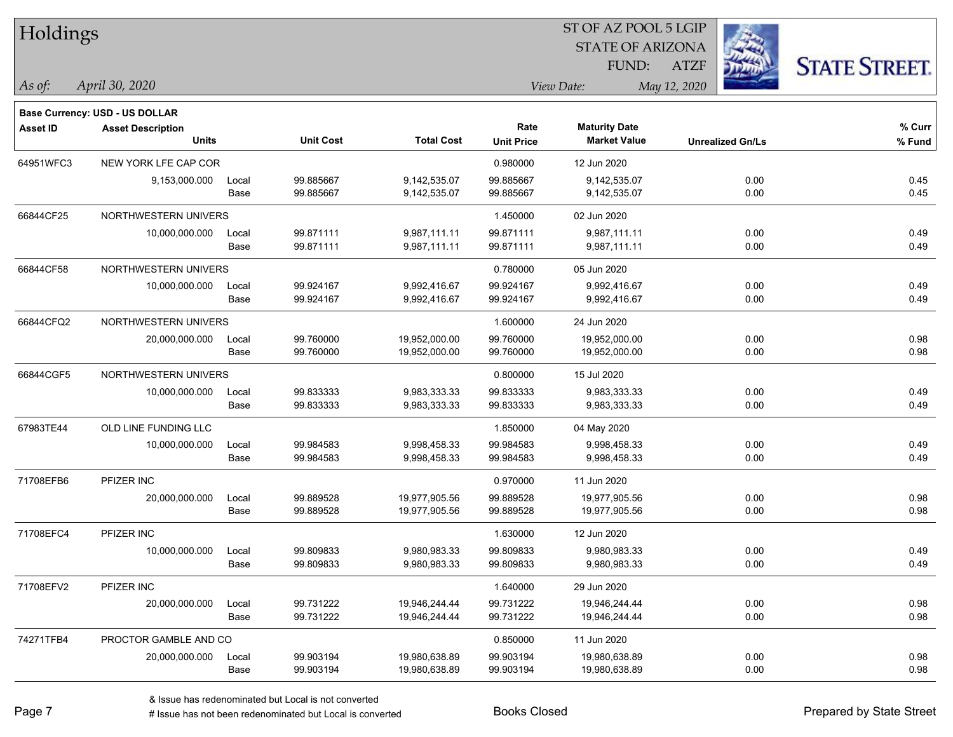| Holdings        |                                       |       |                  |                   |                   |                         |                         |                      |
|-----------------|---------------------------------------|-------|------------------|-------------------|-------------------|-------------------------|-------------------------|----------------------|
|                 |                                       |       |                  |                   |                   | <b>STATE OF ARIZONA</b> |                         |                      |
|                 |                                       |       |                  |                   |                   | FUND:                   | <b>ATZF</b>             | <b>STATE STREET.</b> |
| $\vert$ As of:  | April 30, 2020                        |       |                  |                   | View Date:        |                         | May 12, 2020            |                      |
|                 | <b>Base Currency: USD - US DOLLAR</b> |       |                  |                   |                   |                         |                         |                      |
| <b>Asset ID</b> | <b>Asset Description</b>              |       |                  |                   | Rate              | <b>Maturity Date</b>    |                         | % Curr               |
|                 | <b>Units</b>                          |       | <b>Unit Cost</b> | <b>Total Cost</b> | <b>Unit Price</b> | <b>Market Value</b>     | <b>Unrealized Gn/Ls</b> | % Fund               |
| 64951WFC3       | NEW YORK LFE CAP COR                  |       |                  |                   | 0.980000          | 12 Jun 2020             |                         |                      |
|                 | 9,153,000.000                         | Local | 99.885667        | 9,142,535.07      | 99.885667         | 9,142,535.07            | 0.00                    | 0.45                 |
|                 |                                       | Base  | 99.885667        | 9,142,535.07      | 99.885667         | 9,142,535.07            | 0.00                    | 0.45                 |
| 66844CF25       | NORTHWESTERN UNIVERS                  |       |                  |                   | 1.450000          | 02 Jun 2020             |                         |                      |
|                 | 10,000,000.000                        | Local | 99.871111        | 9,987,111.11      | 99.871111         | 9,987,111.11            | 0.00                    | 0.49                 |
|                 |                                       | Base  | 99.871111        | 9,987,111.11      | 99.871111         | 9,987,111.11            | 0.00                    | 0.49                 |
| 66844CF58       | NORTHWESTERN UNIVERS                  |       |                  |                   | 0.780000          | 05 Jun 2020             |                         |                      |
|                 | 10,000,000.000                        | Local | 99.924167        | 9,992,416.67      | 99.924167         | 9,992,416.67            | 0.00                    | 0.49                 |
|                 |                                       | Base  | 99.924167        | 9,992,416.67      | 99.924167         | 9,992,416.67            | 0.00                    | 0.49                 |
| 66844CFQ2       | NORTHWESTERN UNIVERS                  |       |                  |                   | 1.600000          | 24 Jun 2020             |                         |                      |
|                 | 20,000,000.000                        | Local | 99.760000        | 19,952,000.00     | 99.760000         | 19,952,000.00           | 0.00                    | 0.98                 |
|                 |                                       | Base  | 99.760000        | 19,952,000.00     | 99.760000         | 19,952,000.00           | 0.00                    | 0.98                 |
| 66844CGF5       | NORTHWESTERN UNIVERS                  |       |                  |                   | 0.800000          | 15 Jul 2020             |                         |                      |
|                 | 10,000,000.000                        | Local | 99.833333        | 9,983,333.33      | 99.833333         | 9,983,333.33            | 0.00                    | 0.49                 |
|                 |                                       | Base  | 99.833333        | 9,983,333.33      | 99.833333         | 9,983,333.33            | 0.00                    | 0.49                 |
| 67983TE44       | OLD LINE FUNDING LLC                  |       |                  |                   | 1.850000          | 04 May 2020             |                         |                      |
|                 | 10,000,000.000                        | Local | 99.984583        | 9,998,458.33      | 99.984583         | 9,998,458.33            | 0.00                    | 0.49                 |
|                 |                                       | Base  | 99.984583        | 9,998,458.33      | 99.984583         | 9,998,458.33            | 0.00                    | 0.49                 |
| 71708EFB6       | PFIZER INC                            |       |                  |                   | 0.970000          | 11 Jun 2020             |                         |                      |
|                 | 20,000,000.000                        | Local | 99.889528        | 19,977,905.56     | 99.889528         | 19,977,905.56           | 0.00                    | 0.98                 |
|                 |                                       | Base  | 99.889528        | 19,977,905.56     | 99.889528         | 19,977,905.56           | 0.00                    | 0.98                 |
| 71708EFC4       | PFIZER INC                            |       |                  |                   | 1.630000          | 12 Jun 2020             |                         |                      |
|                 | 10,000,000.000                        | Local | 99.809833        | 9,980,983.33      | 99.809833         | 9,980,983.33            | 0.00                    | 0.49                 |
|                 |                                       | Base  | 99.809833        | 9,980,983.33      | 99.809833         | 9,980,983.33            | 0.00                    | 0.49                 |
| 71708EFV2       | PFIZER INC                            |       |                  |                   | 1.640000          | 29 Jun 2020             |                         |                      |
|                 | 20,000,000.000                        | Local | 99.731222        | 19,946,244.44     | 99.731222         | 19,946,244.44           | 0.00                    | 0.98                 |
|                 |                                       | Base  | 99.731222        | 19,946,244.44     | 99.731222         | 19,946,244.44           | 0.00                    | 0.98                 |
| 74271TFB4       | PROCTOR GAMBLE AND CO                 |       |                  |                   | 0.850000          | 11 Jun 2020             |                         |                      |
|                 | 20,000,000.000                        | Local | 99.903194        | 19,980,638.89     | 99.903194         | 19,980,638.89           | 0.00                    | 0.98                 |
|                 |                                       | Base  | 99.903194        | 19,980,638.89     | 99.903194         | 19,980,638.89           | 0.00                    | 0.98                 |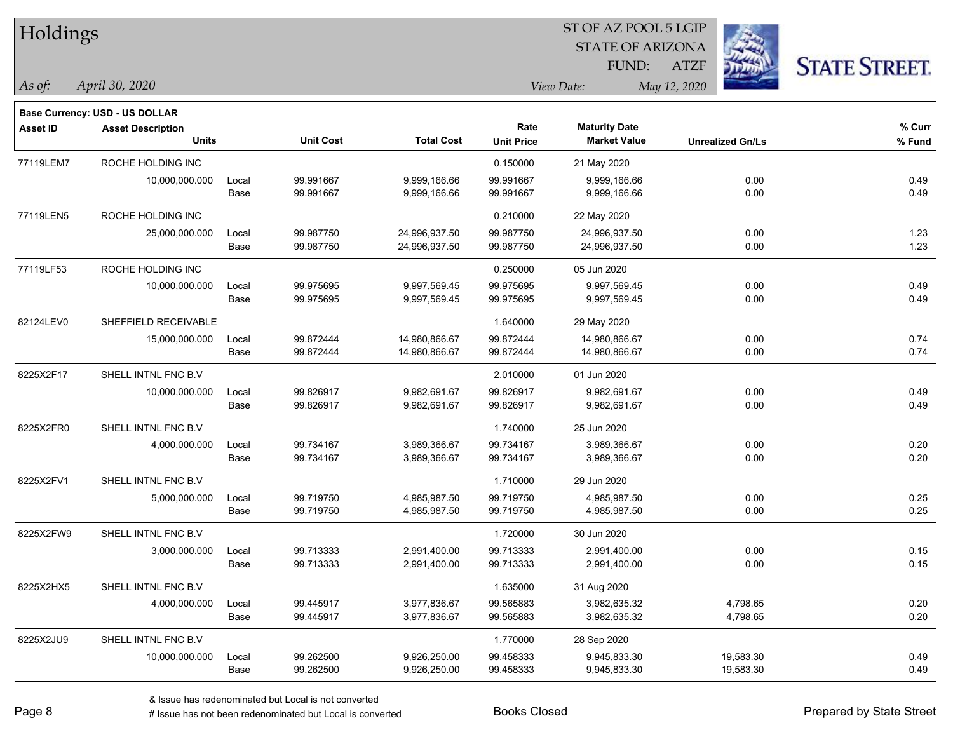| Holdings        |                                          |       |                  |                   |                           | ST OF AZ POOL 5 LGIP                        |                         |                      |
|-----------------|------------------------------------------|-------|------------------|-------------------|---------------------------|---------------------------------------------|-------------------------|----------------------|
|                 |                                          |       |                  |                   |                           | <b>STATE OF ARIZONA</b>                     |                         |                      |
|                 |                                          |       |                  |                   |                           | FUND:                                       | <b>ATZF</b>             | <b>STATE STREET.</b> |
| As of:          | April 30, 2020                           |       |                  |                   |                           | View Date:                                  | May 12, 2020            |                      |
|                 |                                          |       |                  |                   |                           |                                             |                         |                      |
|                 | Base Currency: USD - US DOLLAR           |       |                  |                   |                           |                                             |                         |                      |
| <b>Asset ID</b> | <b>Asset Description</b><br><b>Units</b> |       | <b>Unit Cost</b> | <b>Total Cost</b> | Rate<br><b>Unit Price</b> | <b>Maturity Date</b><br><b>Market Value</b> | <b>Unrealized Gn/Ls</b> | % Curr<br>$%$ Fund   |
| 77119LEM7       | ROCHE HOLDING INC                        |       |                  |                   | 0.150000                  | 21 May 2020                                 |                         |                      |
|                 | 10,000,000.000                           | Local | 99.991667        | 9,999,166.66      | 99.991667                 | 9,999,166.66                                | 0.00                    | 0.49                 |
|                 |                                          | Base  | 99.991667        | 9,999,166.66      | 99.991667                 | 9,999,166.66                                | 0.00                    | 0.49                 |
| 77119LEN5       | ROCHE HOLDING INC                        |       |                  |                   | 0.210000                  | 22 May 2020                                 |                         |                      |
|                 | 25,000,000.000                           | Local | 99.987750        | 24,996,937.50     | 99.987750                 | 24,996,937.50                               | 0.00                    | 1.23                 |
|                 |                                          | Base  | 99.987750        | 24,996,937.50     | 99.987750                 | 24,996,937.50                               | 0.00                    | 1.23                 |
| 77119LF53       | ROCHE HOLDING INC                        |       |                  |                   | 0.250000                  | 05 Jun 2020                                 |                         |                      |
|                 | 10,000,000.000                           | Local | 99.975695        | 9,997,569.45      | 99.975695                 | 9,997,569.45                                | 0.00                    | 0.49                 |
|                 |                                          | Base  | 99.975695        | 9,997,569.45      | 99.975695                 | 9,997,569.45                                | 0.00                    | 0.49                 |
| 82124LEV0       | SHEFFIELD RECEIVABLE                     |       |                  |                   | 1.640000                  | 29 May 2020                                 |                         |                      |
|                 | 15,000,000.000                           | Local | 99.872444        | 14,980,866.67     | 99.872444                 | 14,980,866.67                               | 0.00                    | 0.74                 |
|                 |                                          | Base  | 99.872444        | 14,980,866.67     | 99.872444                 | 14,980,866.67                               | 0.00                    | 0.74                 |
| 8225X2F17       | SHELL INTNL FNC B.V                      |       |                  |                   | 2.010000                  | 01 Jun 2020                                 |                         |                      |
|                 | 10,000,000.000                           | Local | 99.826917        | 9,982,691.67      | 99.826917                 | 9,982,691.67                                | 0.00                    | 0.49                 |
|                 |                                          | Base  | 99.826917        | 9,982,691.67      | 99.826917                 | 9,982,691.67                                | 0.00                    | 0.49                 |
| 8225X2FR0       | SHELL INTNL FNC B.V                      |       |                  |                   | 1.740000                  | 25 Jun 2020                                 |                         |                      |
|                 | 4,000,000.000                            | Local | 99.734167        | 3,989,366.67      | 99.734167                 | 3,989,366.67                                | 0.00                    | 0.20                 |
|                 |                                          | Base  | 99.734167        | 3,989,366.67      | 99.734167                 | 3,989,366.67                                | 0.00                    | 0.20                 |
| 8225X2FV1       | SHELL INTNL FNC B.V                      |       |                  |                   | 1.710000                  | 29 Jun 2020                                 |                         |                      |
|                 | 5,000,000.000                            | Local | 99.719750        | 4,985,987.50      | 99.719750                 | 4,985,987.50                                | 0.00                    | 0.25                 |
|                 |                                          | Base  | 99.719750        | 4,985,987.50      | 99.719750                 | 4,985,987.50                                | 0.00                    | 0.25                 |
| 8225X2FW9       | SHELL INTNL FNC B.V                      |       |                  |                   | 1.720000                  | 30 Jun 2020                                 |                         |                      |
|                 | 3,000,000.000                            | Local | 99.713333        | 2,991,400.00      | 99.713333                 | 2,991,400.00                                | 0.00                    | 0.15                 |
|                 |                                          | Base  | 99.713333        | 2,991,400.00      | 99.713333                 | 2,991,400.00                                | 0.00                    | 0.15                 |
| 8225X2HX5       | SHELL INTNL FNC B.V                      |       |                  |                   | 1.635000                  | 31 Aug 2020                                 |                         |                      |
|                 | 4,000,000.000                            | Local | 99.445917        | 3,977,836.67      | 99.565883                 | 3,982,635.32                                | 4,798.65                | 0.20                 |
|                 |                                          | Base  | 99.445917        | 3,977,836.67      | 99.565883                 | 3,982,635.32                                | 4,798.65                | 0.20                 |
| 8225X2JU9       | SHELL INTNL FNC B.V                      |       |                  |                   | 1.770000                  | 28 Sep 2020                                 |                         |                      |
|                 | 10,000,000.000                           | Local | 99.262500        | 9,926,250.00      | 99.458333                 | 9,945,833.30                                | 19,583.30               | 0.49                 |
|                 |                                          | Base  | 99.262500        | 9,926,250.00      | 99.458333                 | 9,945,833.30                                | 19,583.30               | 0.49                 |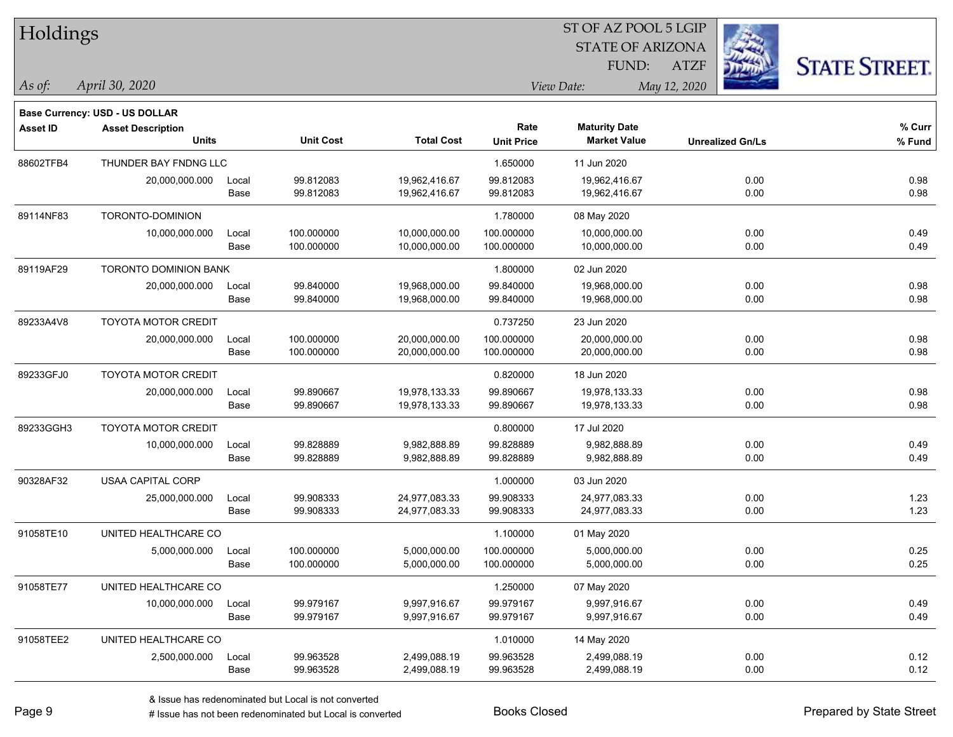| Holdings        |                                          |       |                  |                   | ST OF AZ POOL 5 LGIP      |                                             |                         |                      |  |  |
|-----------------|------------------------------------------|-------|------------------|-------------------|---------------------------|---------------------------------------------|-------------------------|----------------------|--|--|
|                 |                                          |       |                  |                   |                           | <b>STATE OF ARIZONA</b>                     |                         |                      |  |  |
|                 |                                          |       |                  |                   |                           | FUND:                                       | <b>ATZF</b>             | <b>STATE STREET.</b> |  |  |
| As of:          | April 30, 2020                           |       |                  |                   |                           | View Date:                                  | May 12, 2020            |                      |  |  |
|                 |                                          |       |                  |                   |                           |                                             |                         |                      |  |  |
|                 | Base Currency: USD - US DOLLAR           |       |                  |                   |                           |                                             |                         |                      |  |  |
| <b>Asset ID</b> | <b>Asset Description</b><br><b>Units</b> |       | <b>Unit Cost</b> | <b>Total Cost</b> | Rate<br><b>Unit Price</b> | <b>Maturity Date</b><br><b>Market Value</b> | <b>Unrealized Gn/Ls</b> | $%$ Curr<br>% Fund   |  |  |
| 88602TFB4       | THUNDER BAY FNDNG LLC                    |       |                  |                   | 1.650000                  | 11 Jun 2020                                 |                         |                      |  |  |
|                 | 20,000,000.000                           | Local | 99.812083        | 19,962,416.67     | 99.812083                 | 19,962,416.67                               | 0.00                    | 0.98                 |  |  |
|                 |                                          | Base  | 99.812083        | 19,962,416.67     | 99.812083                 | 19,962,416.67                               | 0.00                    | 0.98                 |  |  |
| 89114NF83       | TORONTO-DOMINION                         |       |                  |                   | 1.780000                  | 08 May 2020                                 |                         |                      |  |  |
|                 | 10,000,000.000                           | Local | 100.000000       | 10,000,000.00     | 100.000000                | 10,000,000.00                               | 0.00                    | 0.49                 |  |  |
|                 |                                          | Base  | 100.000000       | 10,000,000.00     | 100.000000                | 10,000,000.00                               | 0.00                    | 0.49                 |  |  |
| 89119AF29       | <b>TORONTO DOMINION BANK</b>             |       |                  |                   | 1.800000                  | 02 Jun 2020                                 |                         |                      |  |  |
|                 | 20,000,000.000                           | Local | 99.840000        | 19,968,000.00     | 99.840000                 | 19,968,000.00                               | 0.00                    | 0.98                 |  |  |
|                 |                                          | Base  | 99.840000        | 19,968,000.00     | 99.840000                 | 19,968,000.00                               | 0.00                    | 0.98                 |  |  |
| 89233A4V8       | <b>TOYOTA MOTOR CREDIT</b>               |       |                  |                   | 0.737250                  | 23 Jun 2020                                 |                         |                      |  |  |
|                 | 20,000,000.000                           | Local | 100.000000       | 20,000,000.00     | 100.000000                | 20,000,000.00                               | 0.00                    | 0.98                 |  |  |
|                 |                                          | Base  | 100.000000       | 20,000,000.00     | 100.000000                | 20,000,000.00                               | 0.00                    | 0.98                 |  |  |
| 89233GFJ0       | <b>TOYOTA MOTOR CREDIT</b>               |       |                  |                   | 0.820000                  | 18 Jun 2020                                 |                         |                      |  |  |
|                 | 20,000,000.000                           | Local | 99.890667        | 19,978,133.33     | 99.890667                 | 19,978,133.33                               | 0.00                    | 0.98                 |  |  |
|                 |                                          | Base  | 99.890667        | 19,978,133.33     | 99.890667                 | 19,978,133.33                               | 0.00                    | 0.98                 |  |  |
| 89233GGH3       | TOYOTA MOTOR CREDIT                      |       |                  |                   | 0.800000                  | 17 Jul 2020                                 |                         |                      |  |  |
|                 | 10,000,000.000                           | Local | 99.828889        | 9,982,888.89      | 99.828889                 | 9,982,888.89                                | 0.00                    | 0.49                 |  |  |
|                 |                                          | Base  | 99.828889        | 9,982,888.89      | 99.828889                 | 9,982,888.89                                | 0.00                    | 0.49                 |  |  |
| 90328AF32       | <b>USAA CAPITAL CORP</b>                 |       |                  |                   | 1.000000                  | 03 Jun 2020                                 |                         |                      |  |  |
|                 | 25,000,000.000                           | Local | 99.908333        | 24,977,083.33     | 99.908333                 | 24,977,083.33                               | 0.00                    | 1.23                 |  |  |
|                 |                                          | Base  | 99.908333        | 24,977,083.33     | 99.908333                 | 24,977,083.33                               | 0.00                    | 1.23                 |  |  |
| 91058TE10       | UNITED HEALTHCARE CO                     |       |                  |                   | 1.100000                  | 01 May 2020                                 |                         |                      |  |  |
|                 | 5,000,000.000                            | Local | 100.000000       | 5,000,000.00      | 100.000000                | 5,000,000.00                                | 0.00                    | 0.25                 |  |  |
|                 |                                          | Base  | 100.000000       | 5,000,000.00      | 100.000000                | 5,000,000.00                                | 0.00                    | 0.25                 |  |  |
| 91058TE77       | UNITED HEALTHCARE CO                     |       |                  |                   | 1.250000                  | 07 May 2020                                 |                         |                      |  |  |
|                 | 10,000,000.000                           | Local | 99.979167        | 9,997,916.67      | 99.979167                 | 9,997,916.67                                | 0.00                    | 0.49                 |  |  |
|                 |                                          | Base  | 99.979167        | 9,997,916.67      | 99.979167                 | 9,997,916.67                                | 0.00                    | 0.49                 |  |  |
| 91058TEE2       | UNITED HEALTHCARE CO                     |       |                  |                   | 1.010000                  | 14 May 2020                                 |                         |                      |  |  |
|                 | 2,500,000.000                            | Local | 99.963528        | 2,499,088.19      | 99.963528                 | 2,499,088.19                                | 0.00                    | 0.12                 |  |  |
|                 |                                          | Base  | 99.963528        | 2,499,088.19      | 99.963528                 | 2,499,088.19                                | 0.00                    | 0.12                 |  |  |

ST OF AZ POOL 5 LGIP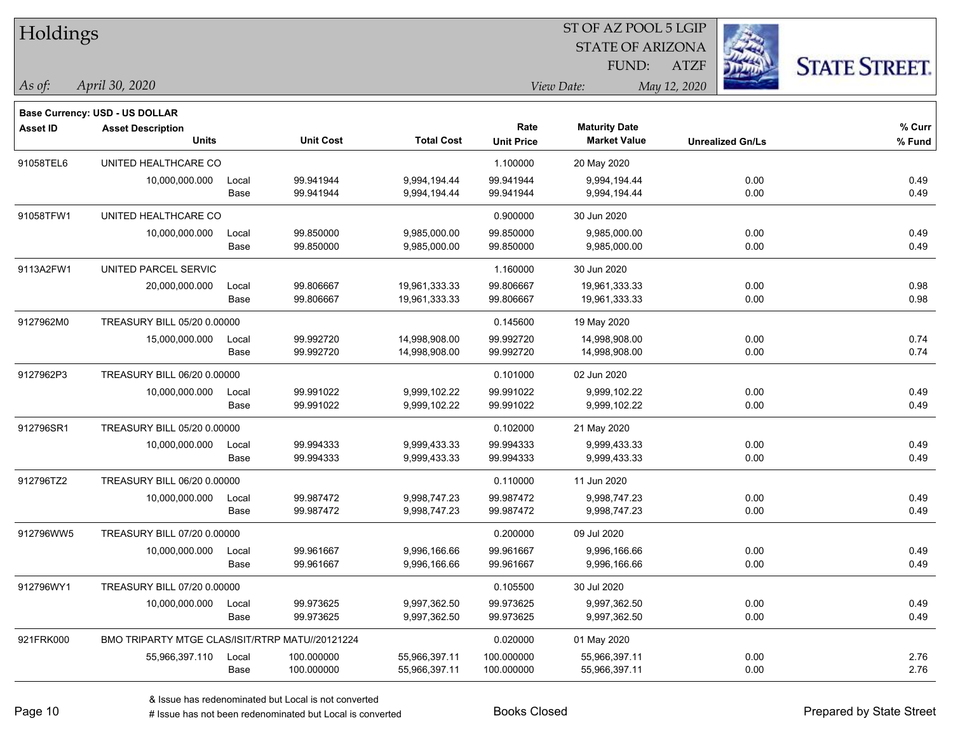| Holdings        |                                                 |       |                  |                   |                   | ST OF AZ POOL 5 LGIP    |              |                         |                      |
|-----------------|-------------------------------------------------|-------|------------------|-------------------|-------------------|-------------------------|--------------|-------------------------|----------------------|
|                 |                                                 |       |                  |                   |                   | <b>STATE OF ARIZONA</b> |              |                         |                      |
|                 |                                                 |       |                  |                   |                   | FUND:                   | <b>ATZF</b>  |                         | <b>STATE STREET.</b> |
| As of:          | April 30, 2020                                  |       |                  |                   |                   | View Date:              | May 12, 2020 |                         |                      |
|                 | Base Currency: USD - US DOLLAR                  |       |                  |                   |                   |                         |              |                         |                      |
| <b>Asset ID</b> | <b>Asset Description</b>                        |       |                  |                   | Rate              | <b>Maturity Date</b>    |              |                         | % Curr               |
|                 | <b>Units</b>                                    |       | <b>Unit Cost</b> | <b>Total Cost</b> | <b>Unit Price</b> | <b>Market Value</b>     |              | <b>Unrealized Gn/Ls</b> | % Fund               |
| 91058TEL6       | UNITED HEALTHCARE CO                            |       |                  |                   | 1.100000          | 20 May 2020             |              |                         |                      |
|                 | 10,000,000.000                                  | Local | 99.941944        | 9,994,194.44      | 99.941944         | 9,994,194.44            |              | 0.00                    | 0.49                 |
|                 |                                                 | Base  | 99.941944        | 9,994,194.44      | 99.941944         | 9,994,194.44            |              | 0.00                    | 0.49                 |
| 91058TFW1       | UNITED HEALTHCARE CO                            |       |                  |                   | 0.900000          | 30 Jun 2020             |              |                         |                      |
|                 | 10,000,000.000                                  | Local | 99.850000        | 9,985,000.00      | 99.850000         | 9,985,000.00            |              | 0.00                    | 0.49                 |
|                 |                                                 | Base  | 99.850000        | 9,985,000.00      | 99.850000         | 9,985,000.00            |              | 0.00                    | 0.49                 |
| 9113A2FW1       | UNITED PARCEL SERVIC                            |       |                  |                   | 1.160000          | 30 Jun 2020             |              |                         |                      |
|                 | 20,000,000.000                                  | Local | 99.806667        | 19,961,333.33     | 99.806667         | 19,961,333.33           |              | 0.00                    | 0.98                 |
|                 |                                                 | Base  | 99.806667        | 19,961,333.33     | 99.806667         | 19,961,333.33           |              | 0.00                    | 0.98                 |
| 9127962M0       | TREASURY BILL 05/20 0.00000                     |       |                  |                   | 0.145600          | 19 May 2020             |              |                         |                      |
|                 | 15,000,000.000                                  | Local | 99.992720        | 14,998,908.00     | 99.992720         | 14,998,908.00           |              | 0.00                    | 0.74                 |
|                 |                                                 | Base  | 99.992720        | 14,998,908.00     | 99.992720         | 14,998,908.00           |              | 0.00                    | 0.74                 |
| 9127962P3       | TREASURY BILL 06/20 0.00000                     |       |                  |                   | 0.101000          | 02 Jun 2020             |              |                         |                      |
|                 | 10,000,000.000                                  | Local | 99.991022        | 9,999,102.22      | 99.991022         | 9,999,102.22            |              | 0.00                    | 0.49                 |
|                 |                                                 | Base  | 99.991022        | 9,999,102.22      | 99.991022         | 9,999,102.22            |              | 0.00                    | 0.49                 |
| 912796SR1       | TREASURY BILL 05/20 0.00000                     |       |                  |                   | 0.102000          | 21 May 2020             |              |                         |                      |
|                 | 10,000,000.000                                  | Local | 99.994333        | 9,999,433.33      | 99.994333         | 9,999,433.33            |              | 0.00                    | 0.49                 |
|                 |                                                 | Base  | 99.994333        | 9,999,433.33      | 99.994333         | 9,999,433.33            |              | 0.00                    | 0.49                 |
| 912796TZ2       | TREASURY BILL 06/20 0.00000                     |       |                  |                   | 0.110000          | 11 Jun 2020             |              |                         |                      |
|                 | 10,000,000.000                                  | Local | 99.987472        | 9,998,747.23      | 99.987472         | 9,998,747.23            |              | 0.00                    | 0.49                 |
|                 |                                                 | Base  | 99.987472        | 9,998,747.23      | 99.987472         | 9,998,747.23            |              | 0.00                    | 0.49                 |
| 912796WW5       | TREASURY BILL 07/20 0.00000                     |       |                  |                   | 0.200000          | 09 Jul 2020             |              |                         |                      |
|                 | 10,000,000.000                                  | Local | 99.961667        | 9,996,166.66      | 99.961667         | 9,996,166.66            |              | 0.00                    | 0.49                 |
|                 |                                                 | Base  | 99.961667        | 9,996,166.66      | 99.961667         | 9,996,166.66            |              | 0.00                    | 0.49                 |
| 912796WY1       | TREASURY BILL 07/20 0.00000                     |       |                  |                   | 0.105500          | 30 Jul 2020             |              |                         |                      |
|                 | 10,000,000.000                                  | Local | 99.973625        | 9,997,362.50      | 99.973625         | 9,997,362.50            |              | 0.00                    | 0.49                 |
|                 |                                                 | Base  | 99.973625        | 9,997,362.50      | 99.973625         | 9,997,362.50            |              | 0.00                    | 0.49                 |
| 921FRK000       | BMO TRIPARTY MTGE CLAS/ISIT/RTRP MATU//20121224 |       |                  |                   | 0.020000          | 01 May 2020             |              |                         |                      |
|                 | 55,966,397.110                                  | Local | 100.000000       | 55,966,397.11     | 100.000000        | 55,966,397.11           |              | 0.00                    | 2.76                 |
|                 |                                                 | Base  | 100.000000       | 55,966,397.11     | 100.000000        | 55,966,397.11           |              | 0.00                    | 2.76                 |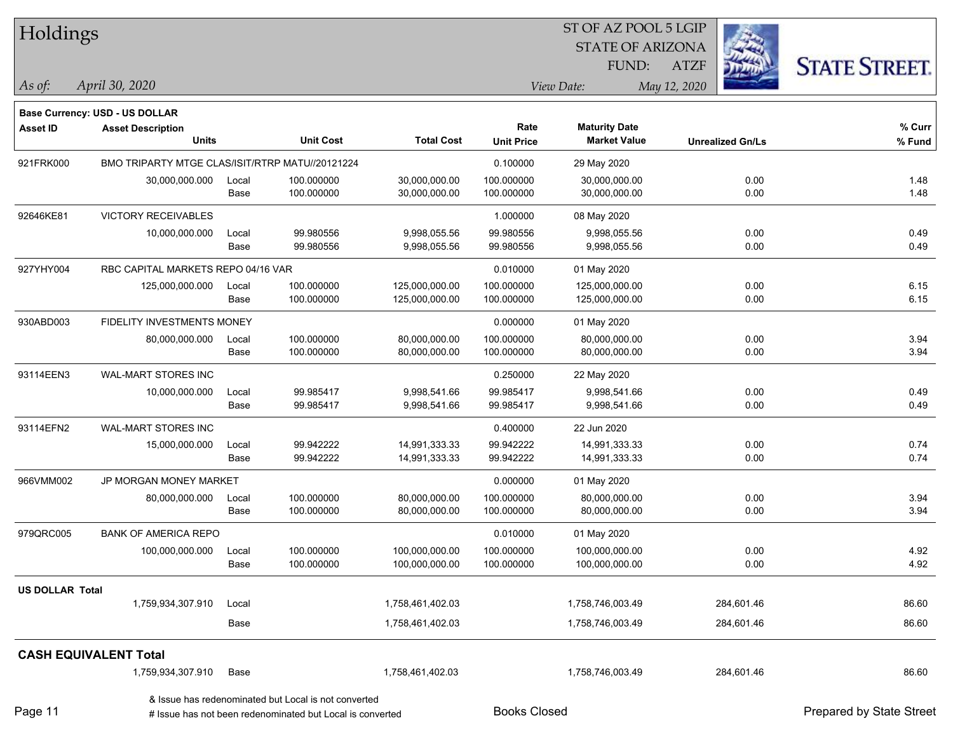| Holdings               |                                                 |       |                                                                                                                   |                   | ST OF AZ POOL 5 LGIP |                         |                         |                          |  |
|------------------------|-------------------------------------------------|-------|-------------------------------------------------------------------------------------------------------------------|-------------------|----------------------|-------------------------|-------------------------|--------------------------|--|
|                        |                                                 |       |                                                                                                                   |                   |                      | <b>STATE OF ARIZONA</b> |                         |                          |  |
|                        |                                                 |       |                                                                                                                   |                   |                      | FUND:                   | <b>ATZF</b>             | <b>STATE STREET.</b>     |  |
| As of:                 | April 30, 2020                                  |       |                                                                                                                   |                   |                      | View Date:              | May 12, 2020            |                          |  |
|                        | Base Currency: USD - US DOLLAR                  |       |                                                                                                                   |                   |                      |                         |                         |                          |  |
| <b>Asset ID</b>        | <b>Asset Description</b>                        |       |                                                                                                                   |                   | Rate                 | <b>Maturity Date</b>    |                         | % Curr                   |  |
|                        | <b>Units</b>                                    |       | <b>Unit Cost</b>                                                                                                  | <b>Total Cost</b> | <b>Unit Price</b>    | <b>Market Value</b>     | <b>Unrealized Gn/Ls</b> | % Fund                   |  |
| 921FRK000              | BMO TRIPARTY MTGE CLAS/ISIT/RTRP MATU//20121224 |       |                                                                                                                   |                   | 0.100000             | 29 May 2020             |                         |                          |  |
|                        | 30,000,000.000                                  | Local | 100.000000                                                                                                        | 30,000,000.00     | 100.000000           | 30,000,000.00           | 0.00                    | 1.48                     |  |
|                        |                                                 | Base  | 100.000000                                                                                                        | 30,000,000.00     | 100.000000           | 30,000,000.00           | 0.00                    | 1.48                     |  |
| 92646KE81              | VICTORY RECEIVABLES                             |       |                                                                                                                   |                   | 1.000000             | 08 May 2020             |                         |                          |  |
|                        | 10,000,000.000                                  | Local | 99.980556                                                                                                         | 9,998,055.56      | 99.980556            | 9,998,055.56            | 0.00                    | 0.49                     |  |
|                        |                                                 | Base  | 99.980556                                                                                                         | 9,998,055.56      | 99.980556            | 9,998,055.56            | 0.00                    | 0.49                     |  |
| 927YHY004              | RBC CAPITAL MARKETS REPO 04/16 VAR              |       |                                                                                                                   |                   | 0.010000             | 01 May 2020             |                         |                          |  |
|                        | 125,000,000.000                                 | Local | 100.000000                                                                                                        | 125,000,000.00    | 100.000000           | 125,000,000.00          | 0.00                    | 6.15                     |  |
|                        |                                                 | Base  | 100.000000                                                                                                        | 125,000,000.00    | 100.000000           | 125,000,000.00          | 0.00                    | 6.15                     |  |
| 930ABD003              | FIDELITY INVESTMENTS MONEY                      |       |                                                                                                                   |                   | 0.000000             | 01 May 2020             |                         |                          |  |
|                        | 80,000,000.000                                  | Local | 100.000000                                                                                                        | 80,000,000.00     | 100.000000           | 80,000,000.00           | 0.00                    | 3.94                     |  |
|                        |                                                 | Base  | 100.000000                                                                                                        | 80,000,000.00     | 100.000000           | 80,000,000.00           | 0.00                    | 3.94                     |  |
| 93114EEN3              | <b>WAL-MART STORES INC</b>                      |       |                                                                                                                   |                   | 0.250000             | 22 May 2020             |                         |                          |  |
|                        | 10,000,000.000                                  | Local | 99.985417                                                                                                         | 9,998,541.66      | 99.985417            | 9,998,541.66            | 0.00                    | 0.49                     |  |
|                        |                                                 | Base  | 99.985417                                                                                                         | 9,998,541.66      | 99.985417            | 9,998,541.66            | 0.00                    | 0.49                     |  |
| 93114EFN2              | <b>WAL-MART STORES INC</b>                      |       |                                                                                                                   |                   | 0.400000             | 22 Jun 2020             |                         |                          |  |
|                        | 15,000,000.000                                  | Local | 99.942222                                                                                                         | 14,991,333.33     | 99.942222            | 14,991,333.33           | 0.00                    | 0.74                     |  |
|                        |                                                 | Base  | 99.942222                                                                                                         | 14,991,333.33     | 99.942222            | 14,991,333.33           | 0.00                    | 0.74                     |  |
| 966VMM002              | <b>JP MORGAN MONEY MARKET</b>                   |       |                                                                                                                   |                   | 0.000000             | 01 May 2020             |                         |                          |  |
|                        | 80,000,000.000                                  | Local | 100.000000                                                                                                        | 80,000,000.00     | 100.000000           | 80,000,000.00           | 0.00                    | 3.94                     |  |
|                        |                                                 | Base  | 100.000000                                                                                                        | 80,000,000.00     | 100.000000           | 80,000,000.00           | 0.00                    | 3.94                     |  |
| 979QRC005              | <b>BANK OF AMERICA REPO</b>                     |       |                                                                                                                   |                   | 0.010000             | 01 May 2020             |                         |                          |  |
|                        | 100,000,000.000                                 | Local | 100.000000                                                                                                        | 100,000,000.00    | 100.000000           | 100,000,000.00          | 0.00                    | 4.92                     |  |
|                        |                                                 | Base  | 100.000000                                                                                                        | 100,000,000.00    | 100.000000           | 100,000,000.00          | 0.00                    | 4.92                     |  |
| <b>US DOLLAR Total</b> |                                                 |       |                                                                                                                   |                   |                      |                         |                         |                          |  |
|                        | 1,759,934,307.910                               | Local |                                                                                                                   | 1,758,461,402.03  |                      | 1,758,746,003.49        | 284,601.46              | 86.60                    |  |
|                        |                                                 | Base  |                                                                                                                   | 1,758,461,402.03  |                      | 1,758,746,003.49        | 284,601.46              | 86.60                    |  |
|                        | <b>CASH EQUIVALENT Total</b>                    |       |                                                                                                                   |                   |                      |                         |                         |                          |  |
|                        | 1,759,934,307.910                               | Base  |                                                                                                                   | 1,758,461,402.03  |                      | 1,758,746,003.49        | 284,601.46              | 86.60                    |  |
| Page 11                |                                                 |       | & Issue has redenominated but Local is not converted<br># Issue has not been redenominated but Local is converted |                   | <b>Books Closed</b>  |                         |                         | Prepared by State Street |  |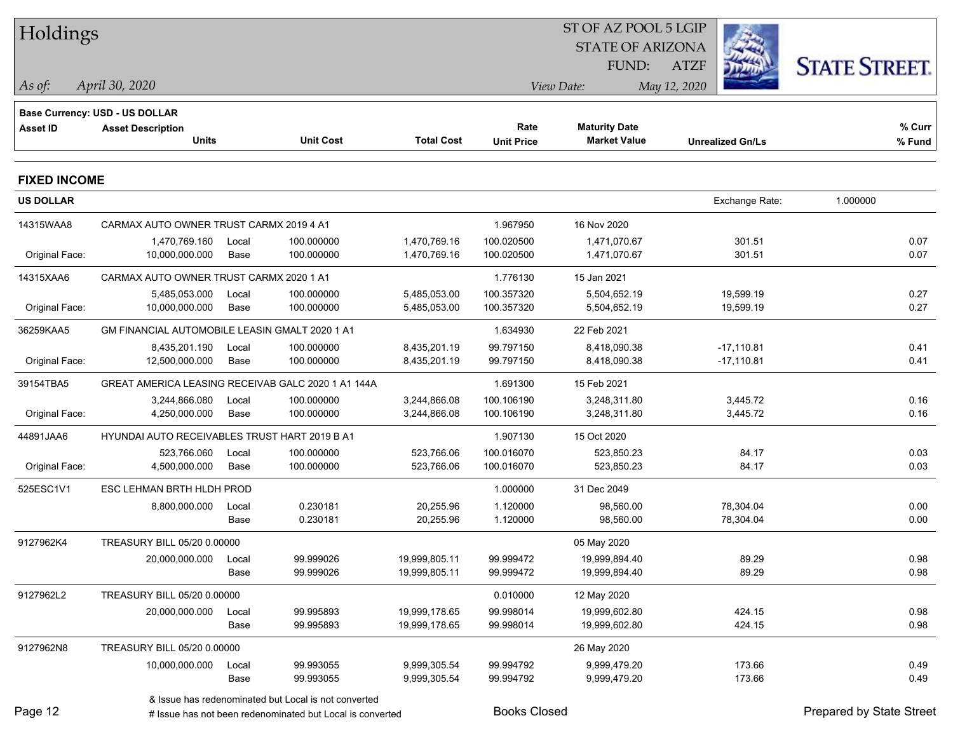| Holdings            |                                                    |       |                                                           |                   |                     | ST OF AZ POOL 5 LGIP    |                         |                          |  |
|---------------------|----------------------------------------------------|-------|-----------------------------------------------------------|-------------------|---------------------|-------------------------|-------------------------|--------------------------|--|
|                     |                                                    |       |                                                           |                   |                     | <b>STATE OF ARIZONA</b> |                         |                          |  |
|                     |                                                    |       |                                                           |                   |                     | FUND:                   | <b>ATZF</b>             | <b>STATE STREET.</b>     |  |
| As of:              | April 30, 2020                                     |       |                                                           |                   |                     | View Date:              | May 12, 2020            |                          |  |
|                     | <b>Base Currency: USD - US DOLLAR</b>              |       |                                                           |                   |                     |                         |                         |                          |  |
| <b>Asset ID</b>     | <b>Asset Description</b>                           |       |                                                           |                   | Rate                | <b>Maturity Date</b>    |                         | % Curr                   |  |
|                     | <b>Units</b>                                       |       | <b>Unit Cost</b>                                          | <b>Total Cost</b> | <b>Unit Price</b>   | <b>Market Value</b>     | <b>Unrealized Gn/Ls</b> | % Fund                   |  |
| <b>FIXED INCOME</b> |                                                    |       |                                                           |                   |                     |                         |                         |                          |  |
| <b>US DOLLAR</b>    |                                                    |       |                                                           |                   |                     |                         | Exchange Rate:          | 1.000000                 |  |
| 14315WAA8           | CARMAX AUTO OWNER TRUST CARMX 2019 4 A1            |       |                                                           |                   | 1.967950            | 16 Nov 2020             |                         |                          |  |
|                     | 1,470,769.160                                      | Local | 100.000000                                                | 1,470,769.16      | 100.020500          | 1,471,070.67            | 301.51                  | 0.07                     |  |
| Original Face:      | 10,000,000.000                                     | Base  | 100.000000                                                | 1,470,769.16      | 100.020500          | 1,471,070.67            | 301.51                  | 0.07                     |  |
| 14315XAA6           | CARMAX AUTO OWNER TRUST CARMX 2020 1 A1            |       |                                                           |                   | 1.776130            | 15 Jan 2021             |                         |                          |  |
|                     | 5,485,053.000                                      | Local | 100.000000                                                | 5,485,053.00      | 100.357320          | 5,504,652.19            | 19,599.19               | 0.27                     |  |
| Original Face:      | 10,000,000.000                                     | Base  | 100.000000                                                | 5,485,053.00      | 100.357320          | 5,504,652.19            | 19,599.19               | 0.27                     |  |
| 36259KAA5           | GM FINANCIAL AUTOMOBILE LEASIN GMALT 2020 1 A1     |       |                                                           |                   | 1.634930            | 22 Feb 2021             |                         |                          |  |
|                     | 8,435,201.190                                      | Local | 100.000000                                                | 8,435,201.19      | 99.797150           | 8,418,090.38            | $-17,110.81$            | 0.41                     |  |
| Original Face:      | 12,500,000.000                                     | Base  | 100.000000                                                | 8,435,201.19      | 99.797150           | 8,418,090.38            | $-17,110.81$            | 0.41                     |  |
| 39154TBA5           | GREAT AMERICA LEASING RECEIVAB GALC 2020 1 A1 144A |       |                                                           |                   | 1.691300            | 15 Feb 2021             |                         |                          |  |
|                     | 3,244,866.080                                      | Local | 100.000000                                                | 3,244,866.08      | 100.106190          | 3,248,311.80            | 3,445.72                | 0.16                     |  |
| Original Face:      | 4,250,000.000                                      | Base  | 100.000000                                                | 3,244,866.08      | 100.106190          | 3,248,311.80            | 3,445.72                | 0.16                     |  |
| 44891JAA6           | HYUNDAI AUTO RECEIVABLES TRUST HART 2019 B A1      |       |                                                           |                   | 1.907130            | 15 Oct 2020             |                         |                          |  |
|                     | 523,766.060                                        | Local | 100.000000                                                | 523,766.06        | 100.016070          | 523,850.23              | 84.17                   | 0.03                     |  |
| Original Face:      | 4,500,000.000                                      | Base  | 100.000000                                                | 523,766.06        | 100.016070          | 523,850.23              | 84.17                   | 0.03                     |  |
| 525ESC1V1           | ESC LEHMAN BRTH HLDH PROD                          |       |                                                           |                   | 1.000000            | 31 Dec 2049             |                         |                          |  |
|                     | 8,800,000.000                                      | Local | 0.230181                                                  | 20,255.96         | 1.120000            | 98,560.00               | 78,304.04               | 0.00                     |  |
|                     |                                                    | Base  | 0.230181                                                  | 20,255.96         | 1.120000            | 98,560.00               | 78,304.04               | 0.00                     |  |
| 9127962K4           | TREASURY BILL 05/20 0.00000                        |       |                                                           |                   |                     | 05 May 2020             |                         |                          |  |
|                     | 20,000,000.000 Local                               |       | 99.999026                                                 | 19,999,805.11     | 99.999472           | 19,999,894.40           | 89.29                   | 0.98                     |  |
|                     |                                                    | Base  | 99.999026                                                 | 19,999,805.11     | 99.999472           | 19,999,894.40           | 89.29                   | 0.98                     |  |
| 9127962L2           | TREASURY BILL 05/20 0.00000                        |       |                                                           |                   | 0.010000            | 12 May 2020             |                         |                          |  |
|                     | 20,000,000.000                                     | Local | 99.995893                                                 | 19,999,178.65     | 99.998014           | 19,999,602.80           | 424.15                  | 0.98                     |  |
|                     |                                                    | Base  | 99.995893                                                 | 19,999,178.65     | 99.998014           | 19,999,602.80           | 424.15                  | 0.98                     |  |
| 9127962N8           | TREASURY BILL 05/20 0.00000                        |       |                                                           |                   |                     | 26 May 2020             |                         |                          |  |
|                     | 10,000,000.000                                     | Local | 99.993055                                                 | 9,999,305.54      | 99.994792           | 9,999,479.20            | 173.66                  | 0.49                     |  |
|                     |                                                    | Base  | 99.993055                                                 | 9,999,305.54      | 99.994792           | 9,999,479.20            | 173.66                  | 0.49                     |  |
|                     |                                                    |       | & Issue has redenominated but Local is not converted      |                   |                     |                         |                         |                          |  |
| Page 12             |                                                    |       | # Issue has not been redenominated but Local is converted |                   | <b>Books Closed</b> |                         |                         | Prepared by State Street |  |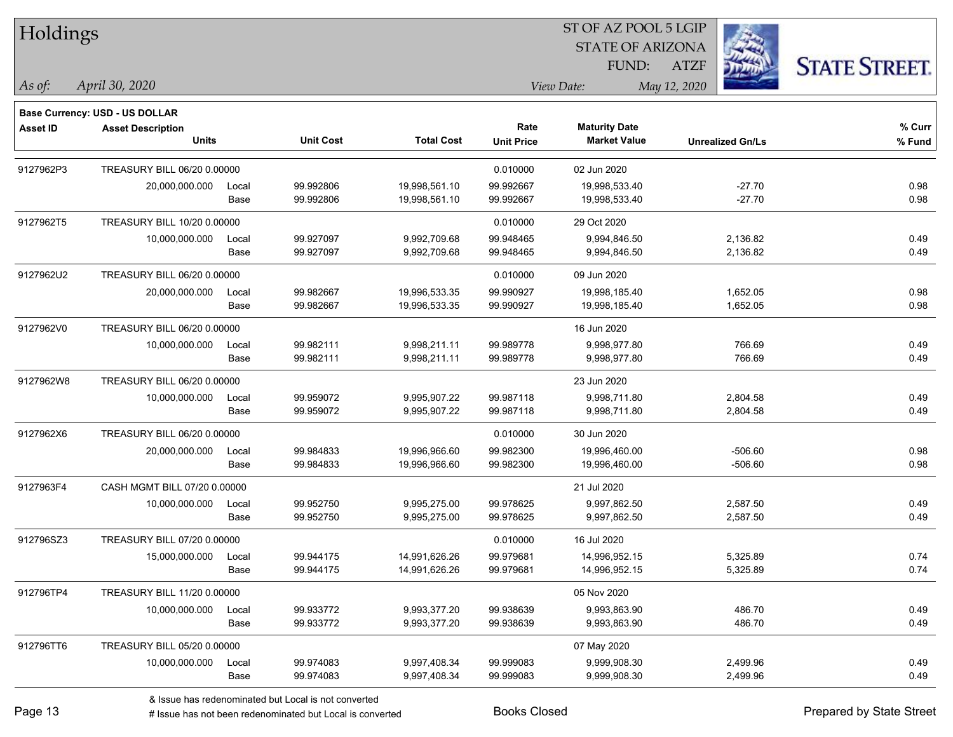Holdings

### STATE OF ARIZONA ATZF ST OF AZ POOL 5 LGIP FUND:



**Base Currency: USD - US DOLLAR**

*April 30, 2020 As of: View Date: May 12, 2020*

| <b>Asset ID</b> | <b>Asset Description</b>     |       |                  |                   | Rate              | <b>Maturity Date</b> |                         | % Curr |
|-----------------|------------------------------|-------|------------------|-------------------|-------------------|----------------------|-------------------------|--------|
|                 | <b>Units</b>                 |       | <b>Unit Cost</b> | <b>Total Cost</b> | <b>Unit Price</b> | <b>Market Value</b>  | <b>Unrealized Gn/Ls</b> | % Fund |
| 9127962P3       | TREASURY BILL 06/20 0.00000  |       |                  |                   | 0.010000          | 02 Jun 2020          |                         |        |
|                 | 20,000,000.000               | Local | 99.992806        | 19,998,561.10     | 99.992667         | 19,998,533.40        | $-27.70$                | 0.98   |
|                 |                              | Base  | 99.992806        | 19,998,561.10     | 99.992667         | 19,998,533.40        | $-27.70$                | 0.98   |
| 9127962T5       | TREASURY BILL 10/20 0.00000  |       |                  |                   | 0.010000          | 29 Oct 2020          |                         |        |
|                 | 10,000,000.000               | Local | 99.927097        | 9,992,709.68      | 99.948465         | 9,994,846.50         | 2,136.82                | 0.49   |
|                 |                              | Base  | 99.927097        | 9,992,709.68      | 99.948465         | 9,994,846.50         | 2,136.82                | 0.49   |
| 9127962U2       | TREASURY BILL 06/20 0.00000  |       |                  |                   | 0.010000          | 09 Jun 2020          |                         |        |
|                 | 20,000,000.000               | Local | 99.982667        | 19,996,533.35     | 99.990927         | 19,998,185.40        | 1,652.05                | 0.98   |
|                 |                              | Base  | 99.982667        | 19,996,533.35     | 99.990927         | 19,998,185.40        | 1,652.05                | 0.98   |
| 9127962V0       | TREASURY BILL 06/20 0.00000  |       |                  |                   |                   | 16 Jun 2020          |                         |        |
|                 | 10,000,000.000               | Local | 99.982111        | 9,998,211.11      | 99.989778         | 9,998,977.80         | 766.69                  | 0.49   |
|                 |                              | Base  | 99.982111        | 9,998,211.11      | 99.989778         | 9,998,977.80         | 766.69                  | 0.49   |
| 9127962W8       | TREASURY BILL 06/20 0.00000  |       |                  |                   |                   | 23 Jun 2020          |                         |        |
|                 | 10,000,000.000               | Local | 99.959072        | 9,995,907.22      | 99.987118         | 9,998,711.80         | 2,804.58                | 0.49   |
|                 |                              | Base  | 99.959072        | 9,995,907.22      | 99.987118         | 9,998,711.80         | 2,804.58                | 0.49   |
| 9127962X6       | TREASURY BILL 06/20 0.00000  |       |                  |                   | 0.010000          | 30 Jun 2020          |                         |        |
|                 | 20,000,000.000               | Local | 99.984833        | 19,996,966.60     | 99.982300         | 19,996,460.00        | $-506.60$               | 0.98   |
|                 |                              | Base  | 99.984833        | 19,996,966.60     | 99.982300         | 19,996,460.00        | $-506.60$               | 0.98   |
| 9127963F4       | CASH MGMT BILL 07/20 0.00000 |       |                  |                   |                   | 21 Jul 2020          |                         |        |
|                 | 10,000,000.000               | Local | 99.952750        | 9,995,275.00      | 99.978625         | 9,997,862.50         | 2,587.50                | 0.49   |
|                 |                              | Base  | 99.952750        | 9,995,275.00      | 99.978625         | 9,997,862.50         | 2,587.50                | 0.49   |
| 912796SZ3       | TREASURY BILL 07/20 0.00000  |       |                  |                   | 0.010000          | 16 Jul 2020          |                         |        |
|                 | 15,000,000.000               | Local | 99.944175        | 14,991,626.26     | 99.979681         | 14,996,952.15        | 5,325.89                | 0.74   |
|                 |                              | Base  | 99.944175        | 14,991,626.26     | 99.979681         | 14,996,952.15        | 5,325.89                | 0.74   |
| 912796TP4       | TREASURY BILL 11/20 0.00000  |       |                  |                   |                   | 05 Nov 2020          |                         |        |
|                 | 10,000,000.000               | Local | 99.933772        | 9,993,377.20      | 99.938639         | 9,993,863.90         | 486.70                  | 0.49   |
|                 |                              | Base  | 99.933772        | 9,993,377.20      | 99.938639         | 9,993,863.90         | 486.70                  | 0.49   |
| 912796TT6       | TREASURY BILL 05/20 0.00000  |       |                  |                   |                   | 07 May 2020          |                         |        |
|                 | 10,000,000.000               | Local | 99.974083        | 9,997,408.34      | 99.999083         | 9,999,908.30         | 2,499.96                | 0.49   |
|                 |                              | Base  | 99.974083        | 9,997,408.34      | 99.999083         | 9,999,908.30         | 2,499.96                | 0.49   |

& Issue has redenominated but Local is not converted

# Issue has not been redenominated but Local is converted Books Closed Prepared by State Street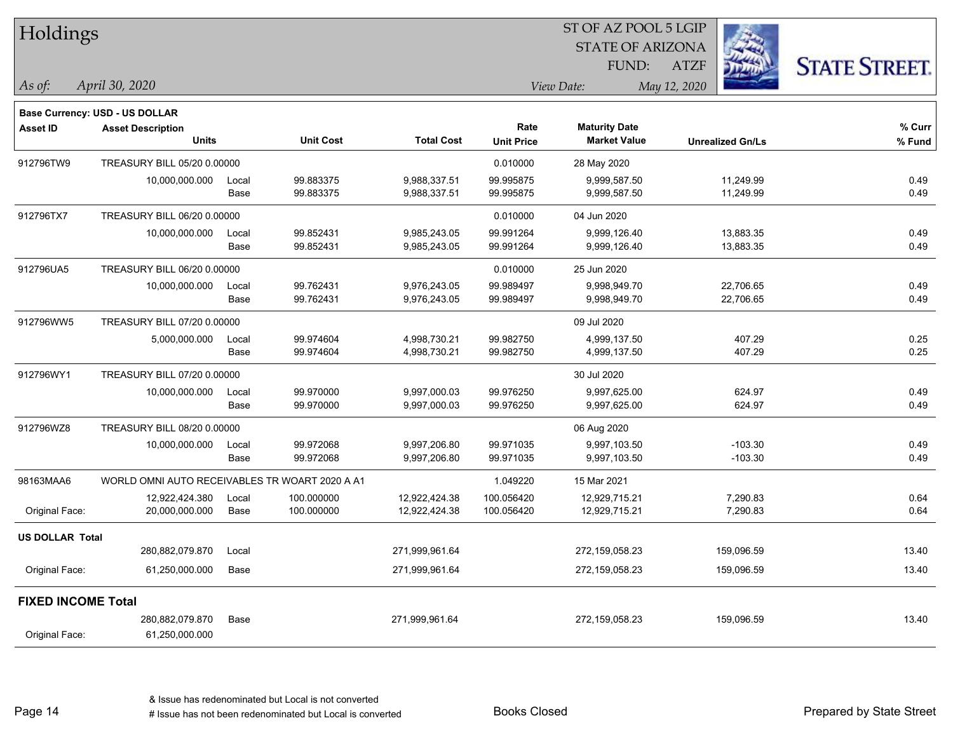| Holdings                  |                                                |               |                          |                                | ST OF AZ POOL 5 LGIP      |                                             |                         |                      |
|---------------------------|------------------------------------------------|---------------|--------------------------|--------------------------------|---------------------------|---------------------------------------------|-------------------------|----------------------|
|                           |                                                |               |                          |                                |                           | <b>STATE OF ARIZONA</b>                     |                         |                      |
|                           |                                                |               |                          |                                |                           | FUND:                                       | <b>ATZF</b>             | <b>STATE STREET.</b> |
| As of:                    | April 30, 2020                                 |               |                          |                                |                           | View Date:                                  | May 12, 2020            |                      |
|                           | Base Currency: USD - US DOLLAR                 |               |                          |                                |                           |                                             |                         |                      |
| <b>Asset ID</b>           | <b>Asset Description</b><br><b>Units</b>       |               | <b>Unit Cost</b>         | <b>Total Cost</b>              | Rate<br><b>Unit Price</b> | <b>Maturity Date</b><br><b>Market Value</b> | <b>Unrealized Gn/Ls</b> | % Curr<br>$%$ Fund   |
| 912796TW9                 | TREASURY BILL 05/20 0.00000                    |               |                          |                                | 0.010000                  | 28 May 2020                                 |                         |                      |
|                           | 10,000,000.000                                 | Local<br>Base | 99.883375<br>99.883375   | 9,988,337.51<br>9,988,337.51   | 99.995875<br>99.995875    | 9,999,587.50<br>9,999,587.50                | 11,249.99<br>11,249.99  | 0.49<br>0.49         |
| 912796TX7                 | TREASURY BILL 06/20 0.00000                    |               |                          |                                | 0.010000                  | 04 Jun 2020                                 |                         |                      |
|                           | 10,000,000.000                                 | Local<br>Base | 99.852431<br>99.852431   | 9,985,243.05<br>9,985,243.05   | 99.991264<br>99.991264    | 9,999,126.40<br>9,999,126.40                | 13,883.35<br>13,883.35  | 0.49<br>0.49         |
| 912796UA5                 | TREASURY BILL 06/20 0.00000                    |               |                          |                                | 0.010000                  | 25 Jun 2020                                 |                         |                      |
|                           | 10,000,000.000                                 | Local<br>Base | 99.762431<br>99.762431   | 9,976,243.05<br>9,976,243.05   | 99.989497<br>99.989497    | 9,998,949.70<br>9,998,949.70                | 22,706.65<br>22,706.65  | 0.49<br>0.49         |
| 912796WW5                 | TREASURY BILL 07/20 0.00000                    |               |                          |                                |                           | 09 Jul 2020                                 |                         |                      |
|                           | 5,000,000.000                                  | Local<br>Base | 99.974604<br>99.974604   | 4,998,730.21<br>4,998,730.21   | 99.982750<br>99.982750    | 4,999,137.50<br>4,999,137.50                | 407.29<br>407.29        | 0.25<br>0.25         |
| 912796WY1                 | TREASURY BILL 07/20 0.00000                    |               |                          |                                |                           | 30 Jul 2020                                 |                         |                      |
|                           | 10,000,000.000                                 | Local<br>Base | 99.970000<br>99.970000   | 9,997,000.03<br>9,997,000.03   | 99.976250<br>99.976250    | 9,997,625.00<br>9,997,625.00                | 624.97<br>624.97        | 0.49<br>0.49         |
| 912796WZ8                 | TREASURY BILL 08/20 0.00000                    |               |                          |                                |                           | 06 Aug 2020                                 |                         |                      |
|                           | 10,000,000.000                                 | Local<br>Base | 99.972068<br>99.972068   | 9,997,206.80<br>9,997,206.80   | 99.971035<br>99.971035    | 9,997,103.50<br>9,997,103.50                | $-103.30$<br>$-103.30$  | 0.49<br>0.49         |
| 98163MAA6                 | WORLD OMNI AUTO RECEIVABLES TR WOART 2020 A A1 |               |                          |                                | 1.049220                  | 15 Mar 2021                                 |                         |                      |
| Original Face:            | 12,922,424.380<br>20,000,000.000               | Local<br>Base | 100.000000<br>100.000000 | 12,922,424.38<br>12,922,424.38 | 100.056420<br>100.056420  | 12,929,715.21<br>12,929,715.21              | 7,290.83<br>7,290.83    | 0.64<br>0.64         |
| <b>US DOLLAR Total</b>    |                                                |               |                          |                                |                           |                                             |                         |                      |
|                           | 280,882,079.870                                | Local         |                          | 271,999,961.64                 |                           | 272,159,058.23                              | 159,096.59              | 13.40                |
| Original Face:            | 61,250,000.000                                 | Base          |                          | 271,999,961.64                 |                           | 272,159,058.23                              | 159,096.59              | 13.40                |
| <b>FIXED INCOME Total</b> |                                                |               |                          |                                |                           |                                             |                         |                      |
| Original Face:            | 280,882,079.870<br>61,250,000.000              | Base          |                          | 271,999,961.64                 |                           | 272,159,058.23                              | 159,096.59              | 13.40                |

Page 14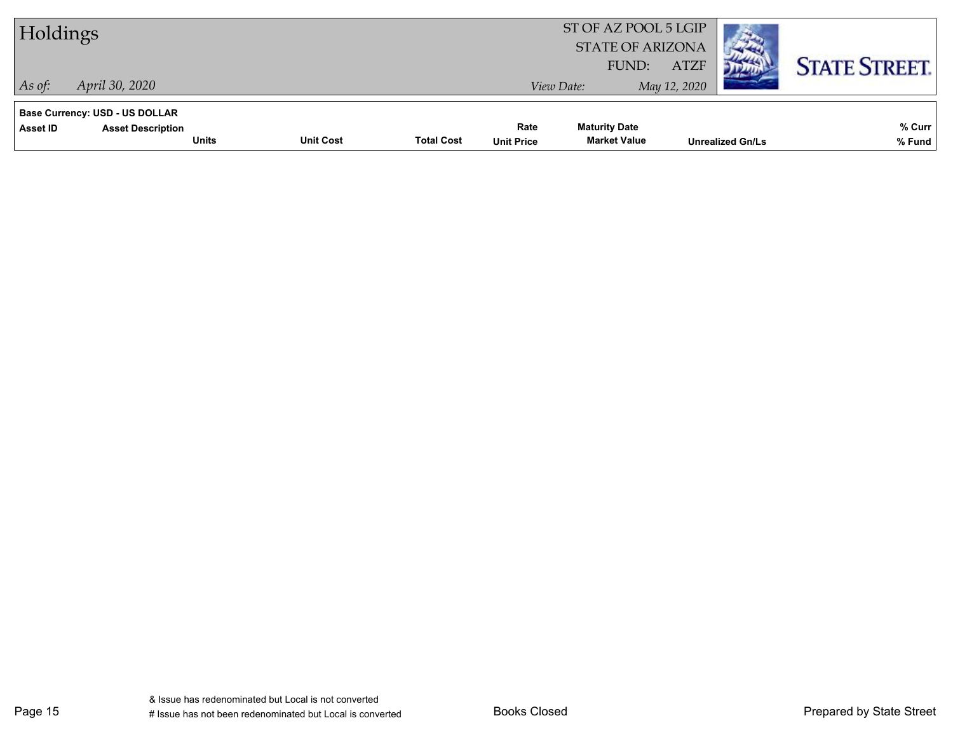| Holdings                                                                                      |                  |                   |                           | ST OF AZ POOL 5 LGIP<br><b>STATE OF ARIZONA</b> |                             |                         |                      |
|-----------------------------------------------------------------------------------------------|------------------|-------------------|---------------------------|-------------------------------------------------|-----------------------------|-------------------------|----------------------|
| April 30, 2020<br>$ $ As of:                                                                  |                  |                   |                           | FUND:<br>View Date:                             | <b>ATZF</b><br>May 12, 2020 |                         | <b>STATE STREET.</b> |
| <b>Base Currency: USD - US DOLLAR</b><br>Asset ID<br><b>Asset Description</b><br><b>Units</b> | <b>Unit Cost</b> | <b>Total Cost</b> | Rate<br><b>Unit Price</b> | <b>Maturity Date</b><br><b>Market Value</b>     |                             | <b>Unrealized Gn/Ls</b> | % Curr<br>% Fund     |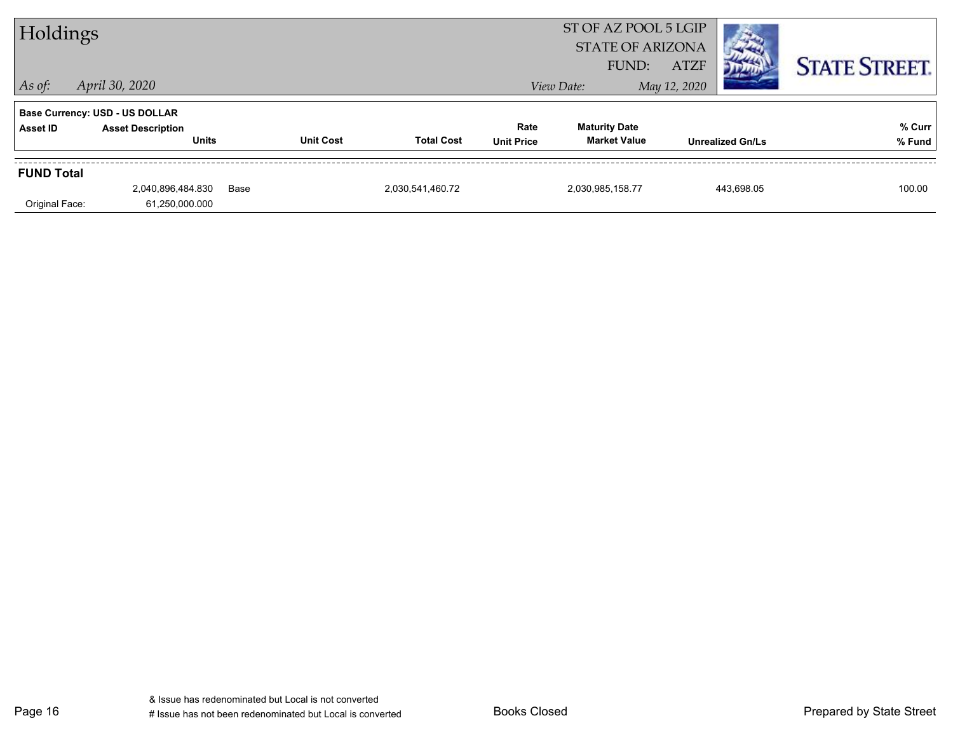| Holdings          |                                          |      |                  |                   |                           | ST OF AZ POOL 5 LGIP<br><b>STATE OF ARIZONA</b><br><b>ATZF</b><br>FUND: |                         |  | <b>STATE STREET.</b> |
|-------------------|------------------------------------------|------|------------------|-------------------|---------------------------|-------------------------------------------------------------------------|-------------------------|--|----------------------|
| $\vert$ As of:    | April 30, 2020                           |      |                  |                   |                           | View Date:                                                              | May 12, 2020            |  |                      |
|                   | <b>Base Currency: USD - US DOLLAR</b>    |      |                  |                   |                           |                                                                         |                         |  |                      |
| Asset ID          | <b>Asset Description</b><br><b>Units</b> |      | <b>Unit Cost</b> | <b>Total Cost</b> | Rate<br><b>Unit Price</b> | <b>Maturity Date</b><br><b>Market Value</b>                             | <b>Unrealized Gn/Ls</b> |  | % Curr<br>% Fund     |
| <b>FUND Total</b> |                                          |      |                  |                   |                           |                                                                         |                         |  |                      |
| Original Face:    | 2,040,896,484.830<br>61,250,000.000      | Base |                  | 2,030,541,460.72  |                           | 2,030,985,158.77                                                        | 443,698.05              |  | 100.00               |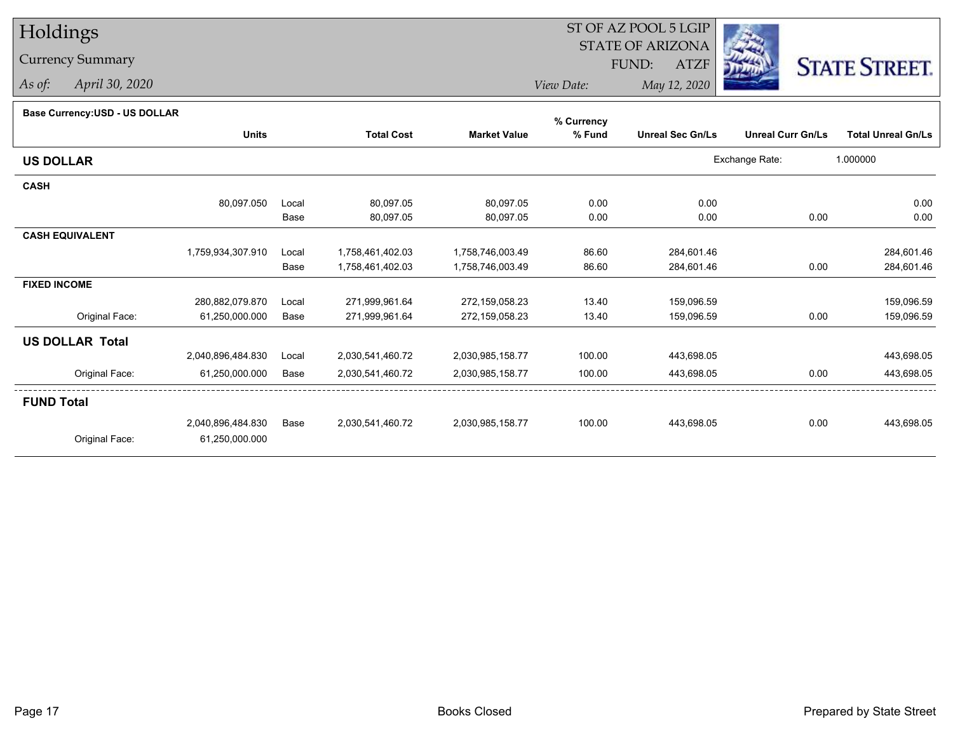## Holdings

### Currency Summary

*As of: April 30, 2020*

### ST OF AZ POOL 5 LGIP STATE OF ARIZONAATZF FUND:



*View Date:May 12, 2020*

| Dase Currency.COD - OO DOLLAR |                   |       |                   |                     | % Currency |                         |                          |                           |
|-------------------------------|-------------------|-------|-------------------|---------------------|------------|-------------------------|--------------------------|---------------------------|
|                               | <b>Units</b>      |       | <b>Total Cost</b> | <b>Market Value</b> | % Fund     | <b>Unreal Sec Gn/Ls</b> | <b>Unreal Curr Gn/Ls</b> | <b>Total Unreal Gn/Ls</b> |
| <b>US DOLLAR</b>              |                   |       |                   |                     |            |                         | Exchange Rate:           | 1.000000                  |
| <b>CASH</b>                   |                   |       |                   |                     |            |                         |                          |                           |
|                               | 80,097.050        | Local | 80,097.05         | 80,097.05           | 0.00       | 0.00                    |                          | 0.00                      |
|                               |                   | Base  | 80,097.05         | 80,097.05           | 0.00       | 0.00                    | 0.00                     | 0.00                      |
| <b>CASH EQUIVALENT</b>        |                   |       |                   |                     |            |                         |                          |                           |
|                               | 1,759,934,307.910 | Local | 1,758,461,402.03  | 1,758,746,003.49    | 86.60      | 284,601.46              |                          | 284,601.46                |
|                               |                   | Base  | 1,758,461,402.03  | 1,758,746,003.49    | 86.60      | 284,601.46              | 0.00                     | 284,601.46                |
| <b>FIXED INCOME</b>           |                   |       |                   |                     |            |                         |                          |                           |
|                               | 280,882,079.870   | Local | 271,999,961.64    | 272,159,058.23      | 13.40      | 159,096.59              |                          | 159,096.59                |
| Original Face:                | 61,250,000.000    | Base  | 271,999,961.64    | 272,159,058.23      | 13.40      | 159,096.59              | 0.00                     | 159,096.59                |
| <b>US DOLLAR Total</b>        |                   |       |                   |                     |            |                         |                          |                           |
|                               | 2,040,896,484.830 | Local | 2,030,541,460.72  | 2,030,985,158.77    | 100.00     | 443,698.05              |                          | 443,698.05                |
| Original Face:                | 61,250,000.000    | Base  | 2,030,541,460.72  | 2,030,985,158.77    | 100.00     | 443,698.05              | 0.00                     | 443,698.05                |
| <b>FUND Total</b>             |                   |       |                   |                     |            |                         |                          |                           |
|                               | 2,040,896,484.830 | Base  | 2,030,541,460.72  | 2,030,985,158.77    | 100.00     | 443,698.05              | 0.00                     | 443,698.05                |
| Original Face:                | 61,250,000.000    |       |                   |                     |            |                         |                          |                           |
|                               |                   |       |                   |                     |            |                         |                          |                           |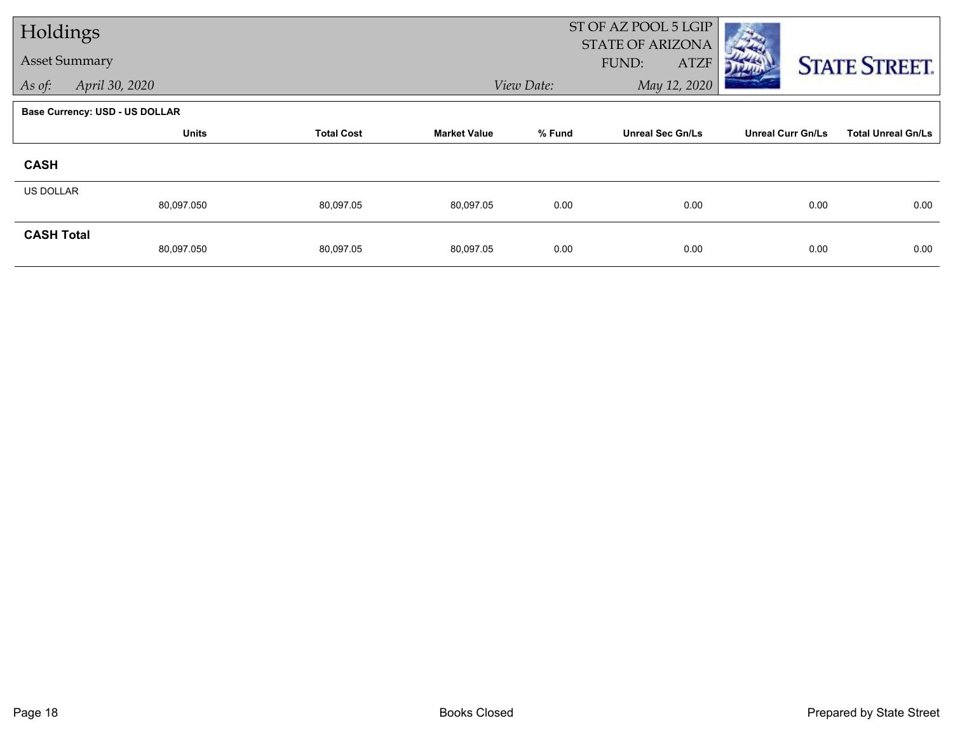| Holdings             |                                       |                   |                     | ST OF AZ POOL 5 LGIP |                                                 |                          |                           |
|----------------------|---------------------------------------|-------------------|---------------------|----------------------|-------------------------------------------------|--------------------------|---------------------------|
| <b>Asset Summary</b> |                                       |                   |                     |                      | <b>STATE OF ARIZONA</b><br><b>ATZF</b><br>FUND: |                          | <b>STATE STREET.</b>      |
| As of:               | April 30, 2020                        |                   |                     | View Date:           | May 12, 2020                                    |                          |                           |
|                      | <b>Base Currency: USD - US DOLLAR</b> |                   |                     |                      |                                                 |                          |                           |
|                      | <b>Units</b>                          | <b>Total Cost</b> | <b>Market Value</b> | % Fund               | <b>Unreal Sec Gn/Ls</b>                         | <b>Unreal Curr Gn/Ls</b> | <b>Total Unreal Gn/Ls</b> |
| <b>CASH</b>          |                                       |                   |                     |                      |                                                 |                          |                           |
| <b>US DOLLAR</b>     | 80,097.050                            | 80,097.05         | 80,097.05           | 0.00                 | 0.00                                            | 0.00                     | 0.00                      |
| <b>CASH Total</b>    | 80,097.050                            | 80,097.05         | 80,097.05           | 0.00                 | 0.00                                            | 0.00                     | 0.00                      |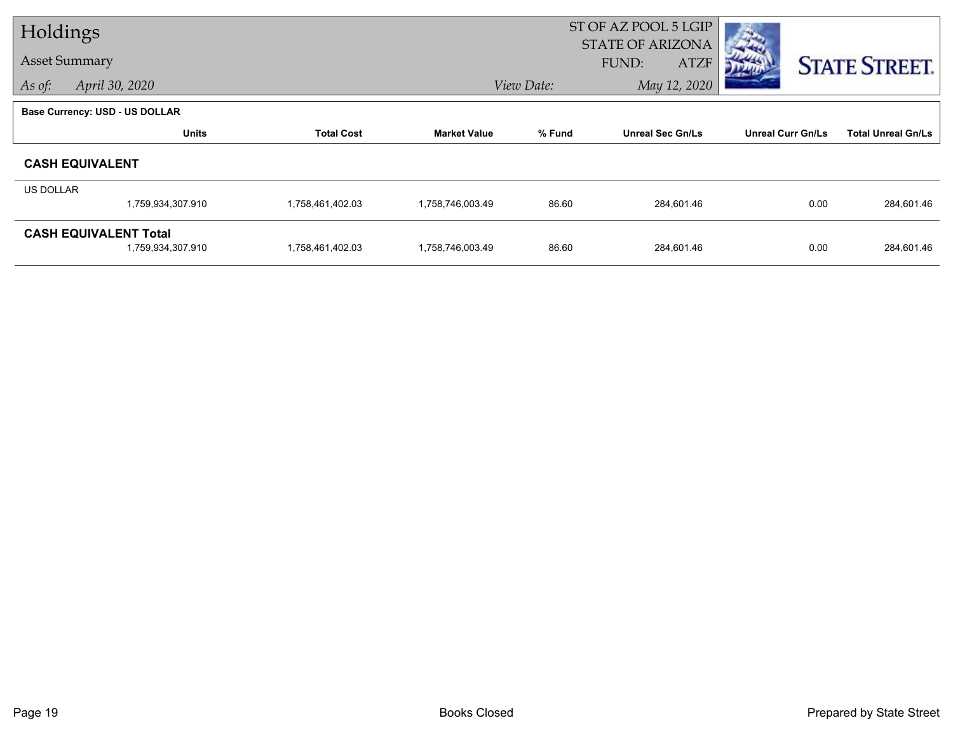| Holdings  |                                                   |                   |                     | ST OF AZ POOL 5 LGIP<br><b>STATE OF ARIZONA</b> |                         |                          |                           |  |
|-----------|---------------------------------------------------|-------------------|---------------------|-------------------------------------------------|-------------------------|--------------------------|---------------------------|--|
|           | <b>Asset Summary</b>                              |                   |                     |                                                 | <b>ATZF</b><br>FUND:    |                          | <b>STATE STREET.</b>      |  |
| As of:    | April 30, 2020                                    |                   |                     | View Date:                                      | May 12, 2020            |                          |                           |  |
|           | <b>Base Currency: USD - US DOLLAR</b>             |                   |                     |                                                 |                         |                          |                           |  |
|           | <b>Units</b>                                      | <b>Total Cost</b> | <b>Market Value</b> | % Fund                                          | <b>Unreal Sec Gn/Ls</b> | <b>Unreal Curr Gn/Ls</b> | <b>Total Unreal Gn/Ls</b> |  |
|           | <b>CASH EQUIVALENT</b>                            |                   |                     |                                                 |                         |                          |                           |  |
| US DOLLAR |                                                   |                   |                     |                                                 |                         |                          |                           |  |
|           | 1,759,934,307.910                                 | 1,758,461,402.03  | 1,758,746,003.49    | 86.60                                           | 284,601.46              | 0.00                     | 284,601.46                |  |
|           | <b>CASH EQUIVALENT Total</b><br>1,759,934,307.910 | 1,758,461,402.03  | 1,758,746,003.49    | 86.60                                           | 284,601.46              | 0.00                     | 284,601.46                |  |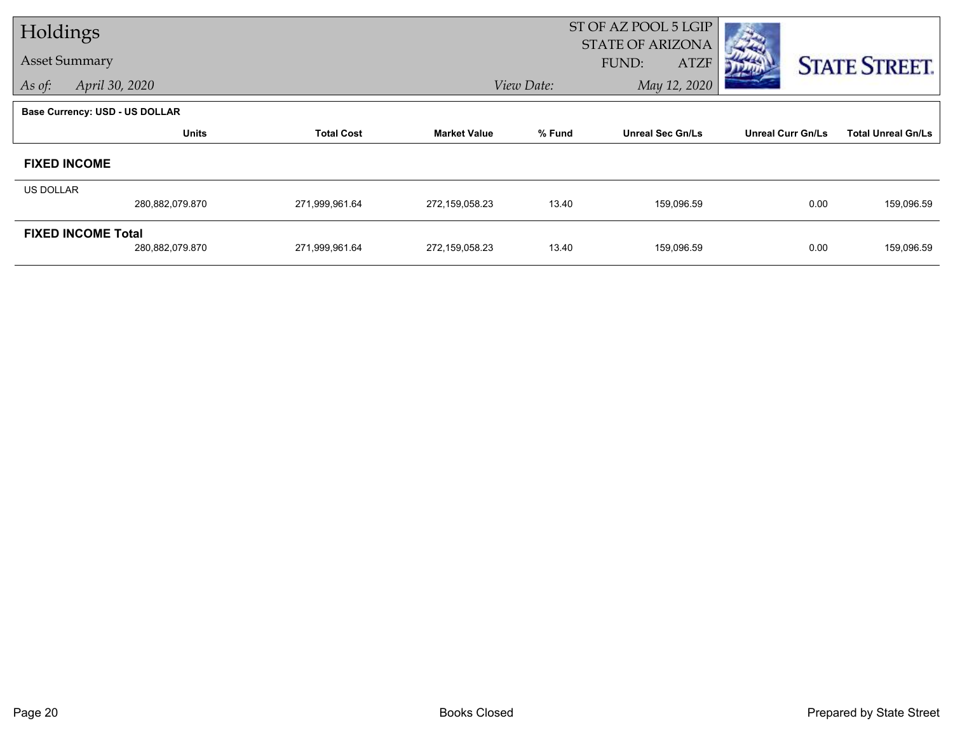| Holdings  |                                              |                   |                     | ST OF AZ POOL 5 LGIP<br><b>STATE OF ARIZONA</b> |                             |                          |                           |  |  |
|-----------|----------------------------------------------|-------------------|---------------------|-------------------------------------------------|-----------------------------|--------------------------|---------------------------|--|--|
|           | <b>Asset Summary</b>                         |                   |                     |                                                 | <b>ATZF</b><br><b>FUND:</b> |                          | <b>STATE STREET.</b>      |  |  |
| As of:    | April 30, 2020                               |                   |                     | View Date:                                      | May 12, 2020                |                          |                           |  |  |
|           | <b>Base Currency: USD - US DOLLAR</b>        |                   |                     |                                                 |                             |                          |                           |  |  |
|           | <b>Units</b>                                 | <b>Total Cost</b> | <b>Market Value</b> | % Fund                                          | <b>Unreal Sec Gn/Ls</b>     | <b>Unreal Curr Gn/Ls</b> | <b>Total Unreal Gn/Ls</b> |  |  |
|           | <b>FIXED INCOME</b>                          |                   |                     |                                                 |                             |                          |                           |  |  |
| US DOLLAR |                                              |                   |                     |                                                 |                             |                          |                           |  |  |
|           | 280,882,079.870                              | 271,999,961.64    | 272,159,058.23      | 13.40                                           | 159,096.59                  | 0.00                     | 159,096.59                |  |  |
|           | <b>FIXED INCOME Total</b><br>280,882,079.870 | 271,999,961.64    | 272,159,058.23      | 13.40                                           | 159,096.59                  | 0.00                     | 159,096.59                |  |  |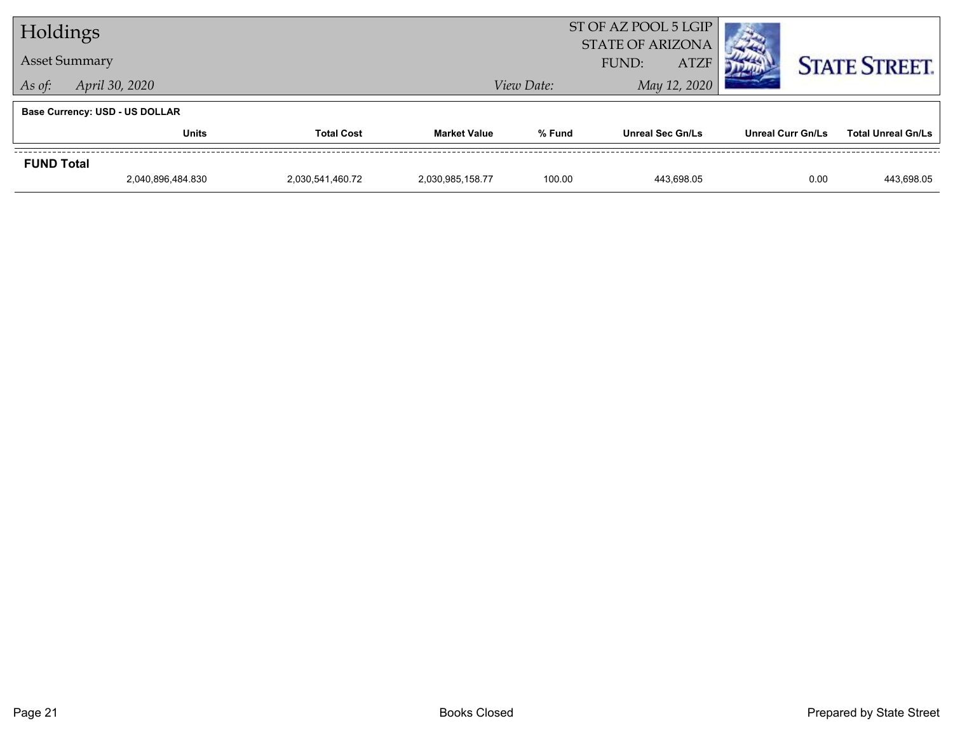| Holdings             |                                       |                   |                     |            | ST OF AZ POOL 5 LGIP<br><b>STATE OF ARIZONA</b> |                          |                           |  |
|----------------------|---------------------------------------|-------------------|---------------------|------------|-------------------------------------------------|--------------------------|---------------------------|--|
| <b>Asset Summary</b> |                                       |                   |                     |            | FUND:<br><b>ATZF</b>                            |                          | <b>STATE STREET.</b>      |  |
| As of:               | April 30, 2020                        |                   |                     | View Date: | May 12, 2020                                    |                          |                           |  |
|                      | <b>Base Currency: USD - US DOLLAR</b> |                   |                     |            |                                                 |                          |                           |  |
|                      | <b>Units</b>                          | <b>Total Cost</b> | <b>Market Value</b> | % Fund     | <b>Unreal Sec Gn/Ls</b>                         | <b>Unreal Curr Gn/Ls</b> | <b>Total Unreal Gn/Ls</b> |  |
| <b>FUND Total</b>    |                                       |                   |                     |            |                                                 |                          |                           |  |
|                      | 2,040,896,484.830                     | 2,030,541,460.72  | 2,030,985,158.77    | 100.00     | 443.698.05                                      | 0.00                     | 443.698.05                |  |